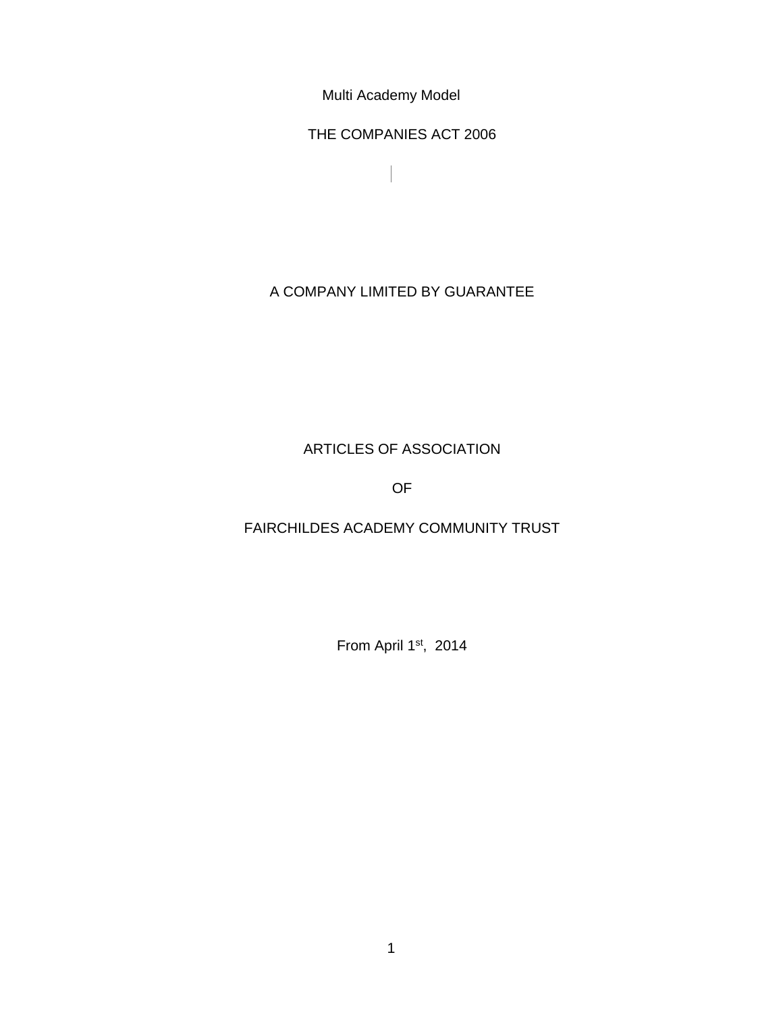Multi Academy Model

THE COMPANIES ACT 2006

 $\overline{\phantom{a}}$ 

# A COMPANY LIMITED BY GUARANTEE

# ARTICLES OF ASSOCIATION

OF

## FAIRCHILDES ACADEMY COMMUNITY TRUST

From April 1st, 2014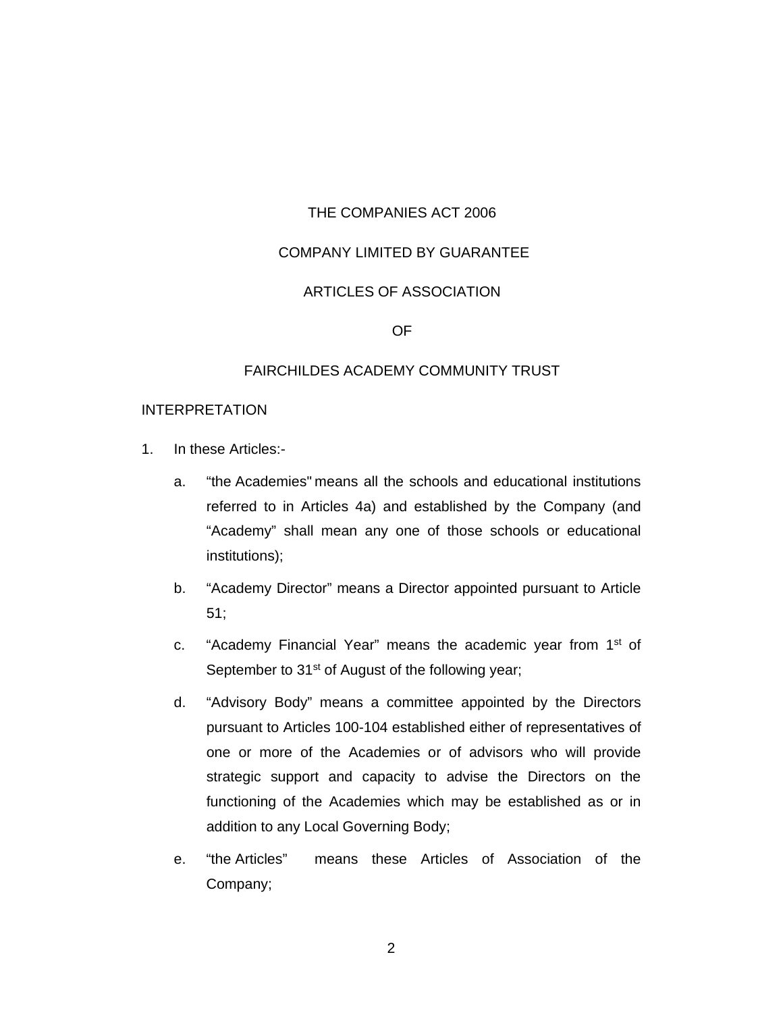#### THE COMPANIES ACT 2006

#### COMPANY LIMITED BY GUARANTEE

## ARTICLES OF ASSOCIATION

OF

#### FAIRCHILDES ACADEMY COMMUNITY TRUST

#### INTERPRETATION

- 1. In these Articles:
	- a. "the Academies" means all the schools and educational institutions referred to in Articles 4a) and established by the Company (and "Academy" shall mean any one of those schools or educational institutions);
	- b. "Academy Director" means a Director appointed pursuant to Article 51;
	- c. "Academy Financial Year" means the academic year from 1st of September to 31<sup>st</sup> of August of the following year;
	- d. "Advisory Body" means a committee appointed by the Directors pursuant to Articles 100-104 established either of representatives of one or more of the Academies or of advisors who will provide strategic support and capacity to advise the Directors on the functioning of the Academies which may be established as or in addition to any Local Governing Body;
	- e. "the Articles" means these Articles of Association of the Company;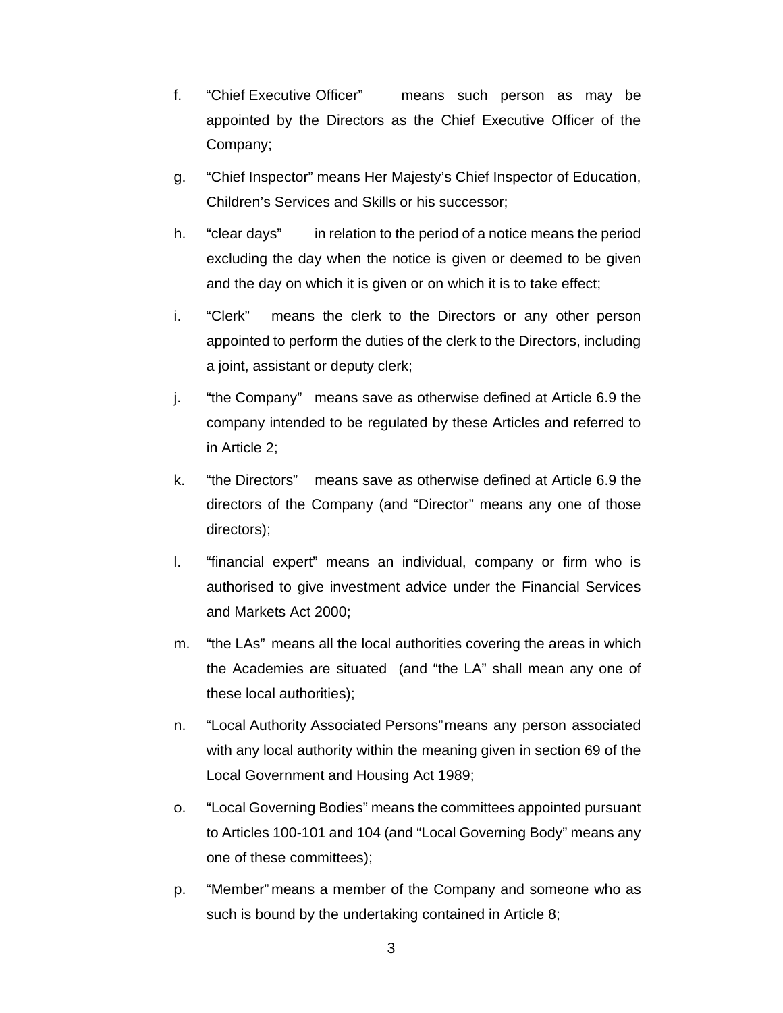- f. "Chief Executive Officer" means such person as may be appointed by the Directors as the Chief Executive Officer of the Company;
- g. "Chief Inspector" means Her Majesty's Chief Inspector of Education, Children's Services and Skills or his successor;
- h. "clear days" in relation to the period of a notice means the period excluding the day when the notice is given or deemed to be given and the day on which it is given or on which it is to take effect;
- i. "Clerk" means the clerk to the Directors or any other person appointed to perform the duties of the clerk to the Directors, including a joint, assistant or deputy clerk;
- j. "the Company" means save as otherwise defined at Article 6.9 the company intended to be regulated by these Articles and referred to in Article 2;
- k. "the Directors" means save as otherwise defined at Article 6.9 the directors of the Company (and "Director" means any one of those directors);
- l. "financial expert" means an individual, company or firm who is authorised to give investment advice under the Financial Services and Markets Act 2000;
- m. "the LAs" means all the local authorities covering the areas in which the Academies are situated (and "the LA" shall mean any one of these local authorities);
- n. "Local Authority Associated Persons" means any person associated with any local authority within the meaning given in section 69 of the Local Government and Housing Act 1989;
- o. "Local Governing Bodies" means the committees appointed pursuant to Articles 100-101 and 104 (and "Local Governing Body" means any one of these committees);
- p. "Member" means a member of the Company and someone who as such is bound by the undertaking contained in Article 8;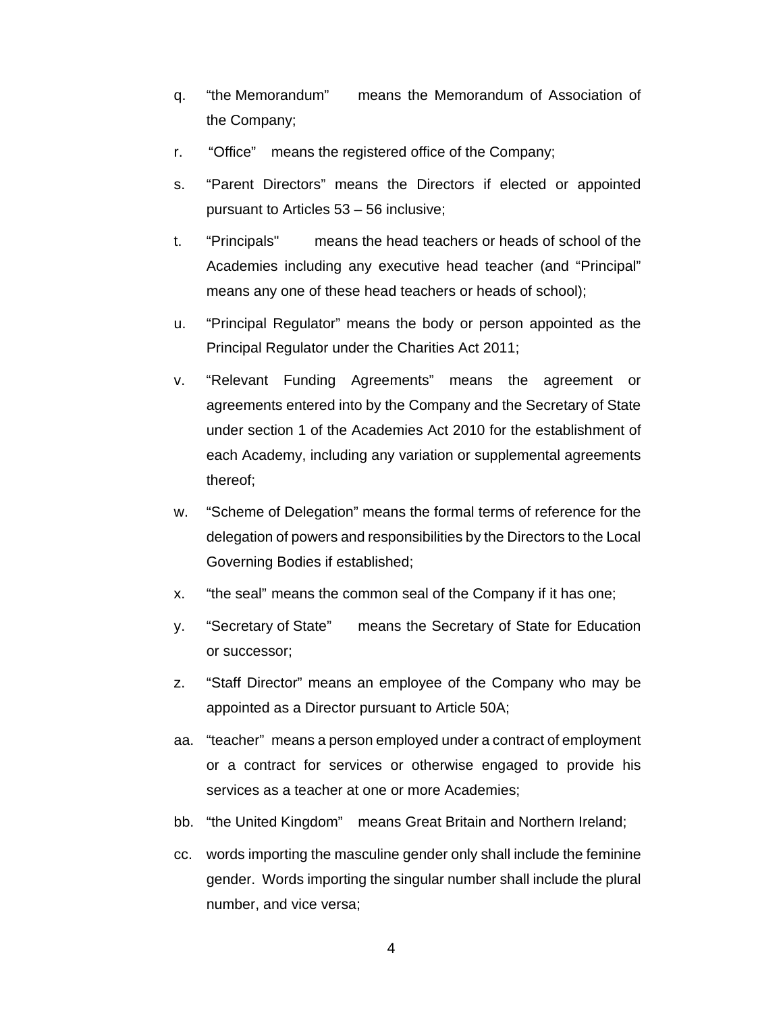- q. "the Memorandum" means the Memorandum of Association of the Company;
- r. "Office" means the registered office of the Company;
- s. "Parent Directors" means the Directors if elected or appointed pursuant to Articles 53 – 56 inclusive;
- t. "Principals" means the head teachers or heads of school of the Academies including any executive head teacher (and "Principal" means any one of these head teachers or heads of school);
- u. "Principal Regulator" means the body or person appointed as the Principal Regulator under the Charities Act 2011;
- v. "Relevant Funding Agreements" means the agreement or agreements entered into by the Company and the Secretary of State under section 1 of the Academies Act 2010 for the establishment of each Academy, including any variation or supplemental agreements thereof;
- w. "Scheme of Delegation" means the formal terms of reference for the delegation of powers and responsibilities by the Directors to the Local Governing Bodies if established;
- x. "the seal" means the common seal of the Company if it has one;
- y. "Secretary of State" means the Secretary of State for Education or successor;
- z. "Staff Director" means an employee of the Company who may be appointed as a Director pursuant to Article 50A;
- aa. "teacher" means a person employed under a contract of employment or a contract for services or otherwise engaged to provide his services as a teacher at one or more Academies;
- bb. "the United Kingdom" means Great Britain and Northern Ireland;
- cc. words importing the masculine gender only shall include the feminine gender. Words importing the singular number shall include the plural number, and vice versa;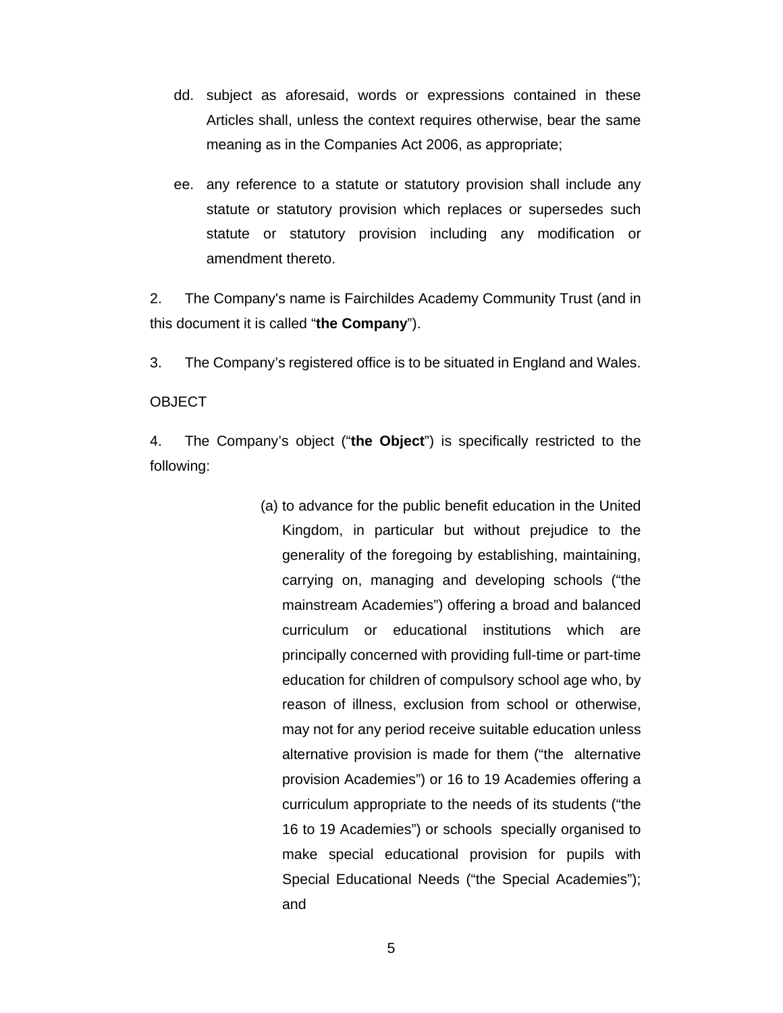- dd. subject as aforesaid, words or expressions contained in these Articles shall, unless the context requires otherwise, bear the same meaning as in the Companies Act 2006, as appropriate;
- ee. any reference to a statute or statutory provision shall include any statute or statutory provision which replaces or supersedes such statute or statutory provision including any modification or amendment thereto.

2. The Company's name is Fairchildes Academy Community Trust (and in this document it is called "**the Company**").

3. The Company's registered office is to be situated in England and Wales.

#### **OBJECT**

4. The Company's object ("**the Object**") is specifically restricted to the following:

> (a) to advance for the public benefit education in the United Kingdom, in particular but without prejudice to the generality of the foregoing by establishing, maintaining, carrying on, managing and developing schools ("the mainstream Academies") offering a broad and balanced curriculum or educational institutions which are principally concerned with providing full-time or part-time education for children of compulsory school age who, by reason of illness, exclusion from school or otherwise, may not for any period receive suitable education unless alternative provision is made for them ("the alternative provision Academies") or 16 to 19 Academies offering a curriculum appropriate to the needs of its students ("the 16 to 19 Academies") or schools specially organised to make special educational provision for pupils with Special Educational Needs ("the Special Academies"); and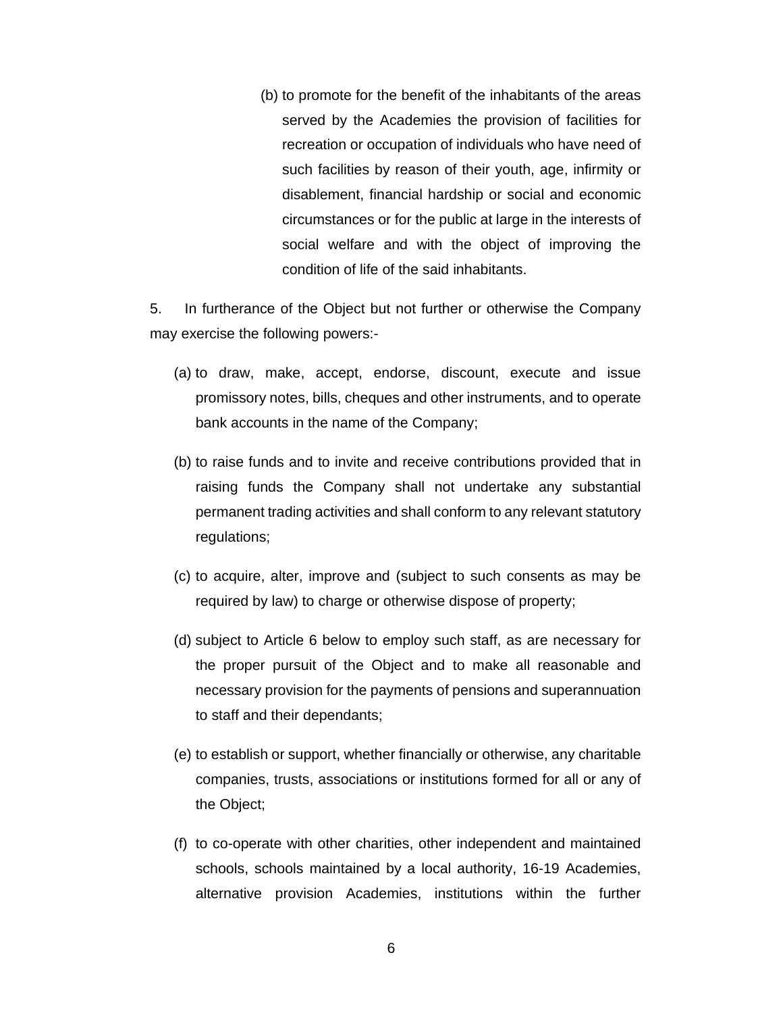(b) to promote for the benefit of the inhabitants of the areas served by the Academies the provision of facilities for recreation or occupation of individuals who have need of such facilities by reason of their youth, age, infirmity or disablement, financial hardship or social and economic circumstances or for the public at large in the interests of social welfare and with the object of improving the condition of life of the said inhabitants.

5. In furtherance of the Object but not further or otherwise the Company may exercise the following powers:-

- (a) to draw, make, accept, endorse, discount, execute and issue promissory notes, bills, cheques and other instruments, and to operate bank accounts in the name of the Company;
- (b) to raise funds and to invite and receive contributions provided that in raising funds the Company shall not undertake any substantial permanent trading activities and shall conform to any relevant statutory regulations;
- (c) to acquire, alter, improve and (subject to such consents as may be required by law) to charge or otherwise dispose of property;
- (d) subject to Article 6 below to employ such staff, as are necessary for the proper pursuit of the Object and to make all reasonable and necessary provision for the payments of pensions and superannuation to staff and their dependants;
- (e) to establish or support, whether financially or otherwise, any charitable companies, trusts, associations or institutions formed for all or any of the Object;
- (f) to co-operate with other charities, other independent and maintained schools, schools maintained by a local authority, 16-19 Academies, alternative provision Academies, institutions within the further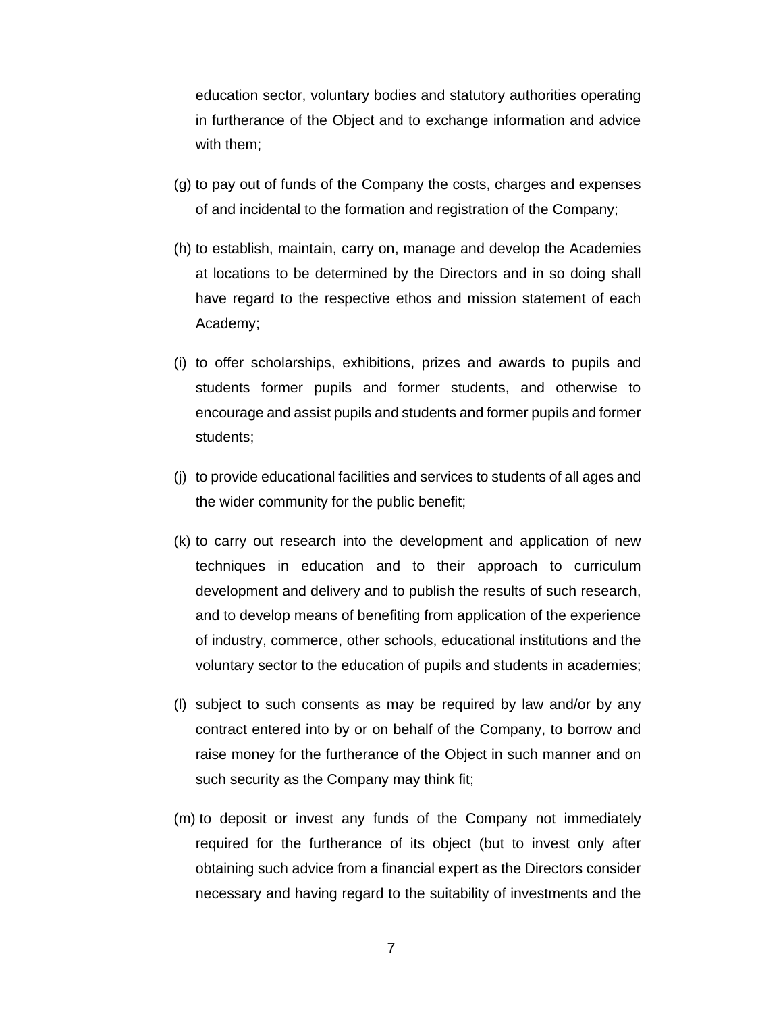education sector, voluntary bodies and statutory authorities operating in furtherance of the Object and to exchange information and advice with them;

- (g) to pay out of funds of the Company the costs, charges and expenses of and incidental to the formation and registration of the Company;
- (h) to establish, maintain, carry on, manage and develop the Academies at locations to be determined by the Directors and in so doing shall have regard to the respective ethos and mission statement of each Academy;
- (i) to offer scholarships, exhibitions, prizes and awards to pupils and students former pupils and former students, and otherwise to encourage and assist pupils and students and former pupils and former students;
- (j) to provide educational facilities and services to students of all ages and the wider community for the public benefit;
- (k) to carry out research into the development and application of new techniques in education and to their approach to curriculum development and delivery and to publish the results of such research, and to develop means of benefiting from application of the experience of industry, commerce, other schools, educational institutions and the voluntary sector to the education of pupils and students in academies;
- (l) subject to such consents as may be required by law and/or by any contract entered into by or on behalf of the Company, to borrow and raise money for the furtherance of the Object in such manner and on such security as the Company may think fit;
- (m) to deposit or invest any funds of the Company not immediately required for the furtherance of its object (but to invest only after obtaining such advice from a financial expert as the Directors consider necessary and having regard to the suitability of investments and the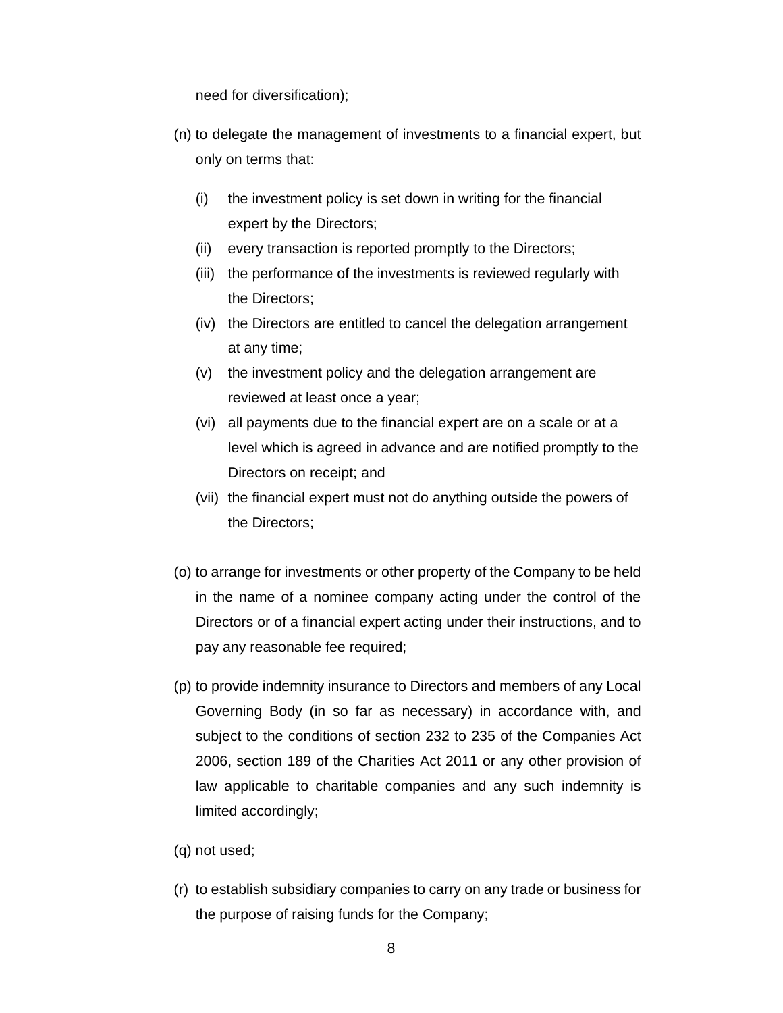need for diversification);

- (n) to delegate the management of investments to a financial expert, but only on terms that:
	- (i) the investment policy is set down in writing for the financial expert by the Directors;
	- (ii) every transaction is reported promptly to the Directors;
	- (iii) the performance of the investments is reviewed regularly with the Directors;
	- (iv) the Directors are entitled to cancel the delegation arrangement at any time;
	- (v) the investment policy and the delegation arrangement are reviewed at least once a year;
	- (vi) all payments due to the financial expert are on a scale or at a level which is agreed in advance and are notified promptly to the Directors on receipt; and
	- (vii) the financial expert must not do anything outside the powers of the Directors;
- (o) to arrange for investments or other property of the Company to be held in the name of a nominee company acting under the control of the Directors or of a financial expert acting under their instructions, and to pay any reasonable fee required;
- (p) to provide indemnity insurance to Directors and members of any Local Governing Body (in so far as necessary) in accordance with, and subject to the conditions of section 232 to 235 of the Companies Act 2006, section 189 of the Charities Act 2011 or any other provision of law applicable to charitable companies and any such indemnity is limited accordingly;
- (q) not used;
- (r) to establish subsidiary companies to carry on any trade or business for the purpose of raising funds for the Company;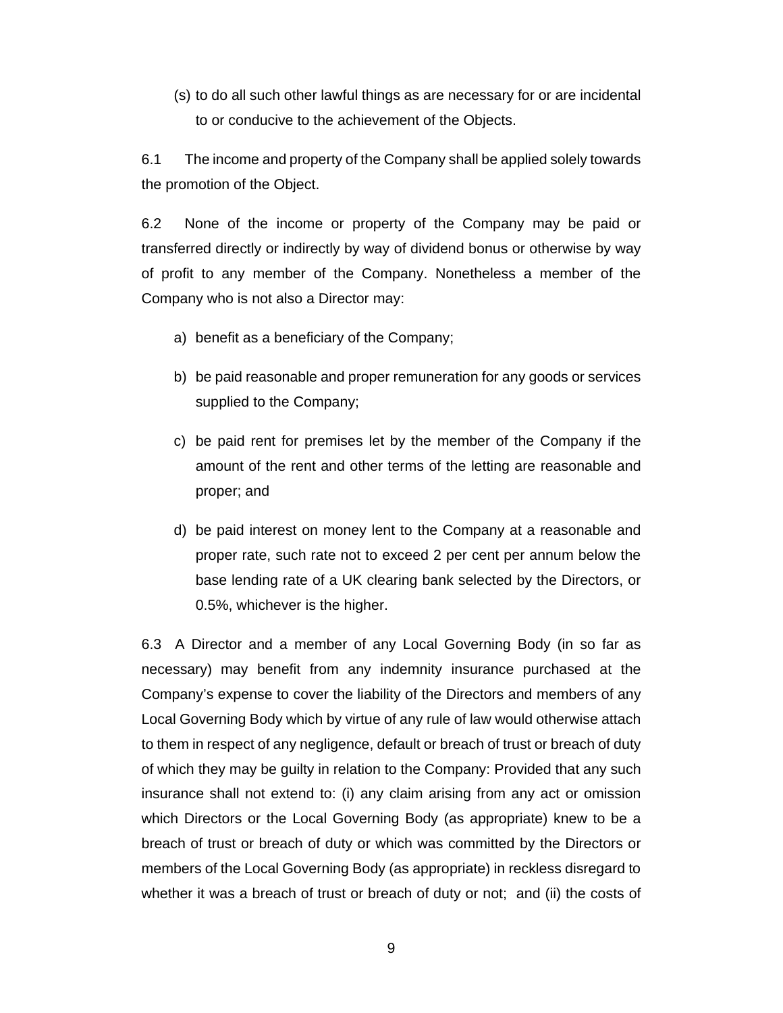(s) to do all such other lawful things as are necessary for or are incidental to or conducive to the achievement of the Objects.

6.1 The income and property of the Company shall be applied solely towards the promotion of the Object.

6.2 None of the income or property of the Company may be paid or transferred directly or indirectly by way of dividend bonus or otherwise by way of profit to any member of the Company. Nonetheless a member of the Company who is not also a Director may:

- a) benefit as a beneficiary of the Company;
- b) be paid reasonable and proper remuneration for any goods or services supplied to the Company;
- c) be paid rent for premises let by the member of the Company if the amount of the rent and other terms of the letting are reasonable and proper; and
- d) be paid interest on money lent to the Company at a reasonable and proper rate, such rate not to exceed 2 per cent per annum below the base lending rate of a UK clearing bank selected by the Directors, or 0.5%, whichever is the higher.

6.3 A Director and a member of any Local Governing Body (in so far as necessary) may benefit from any indemnity insurance purchased at the Company's expense to cover the liability of the Directors and members of any Local Governing Body which by virtue of any rule of law would otherwise attach to them in respect of any negligence, default or breach of trust or breach of duty of which they may be guilty in relation to the Company: Provided that any such insurance shall not extend to: (i) any claim arising from any act or omission which Directors or the Local Governing Body (as appropriate) knew to be a breach of trust or breach of duty or which was committed by the Directors or members of the Local Governing Body (as appropriate) in reckless disregard to whether it was a breach of trust or breach of duty or not; and (ii) the costs of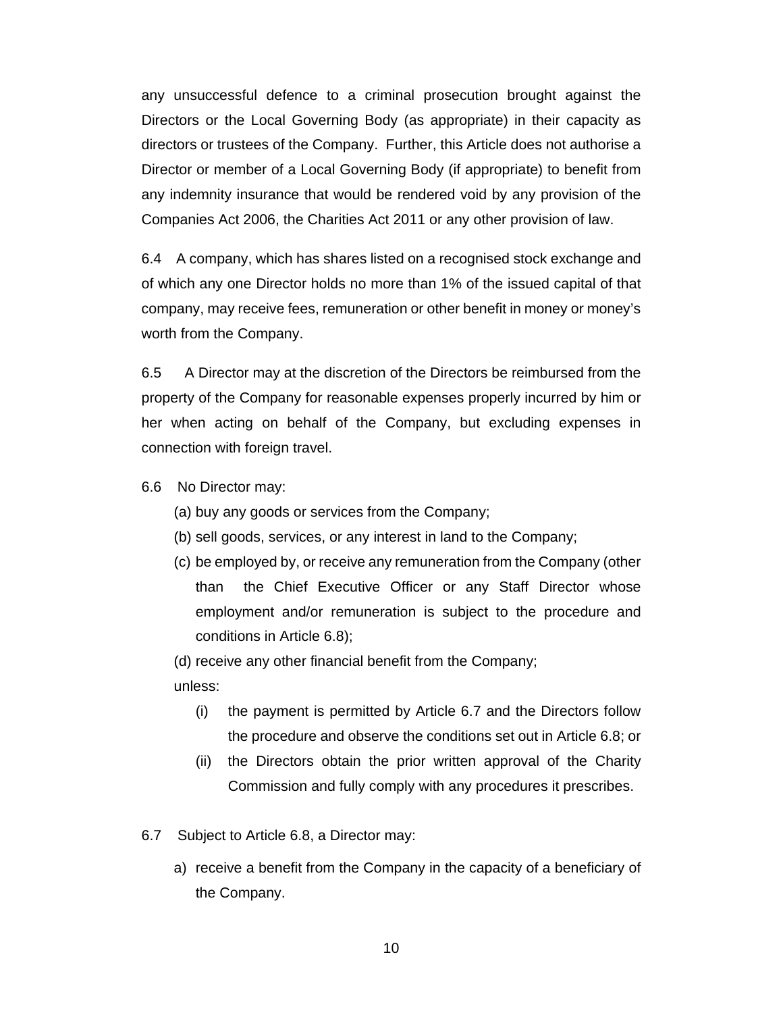any unsuccessful defence to a criminal prosecution brought against the Directors or the Local Governing Body (as appropriate) in their capacity as directors or trustees of the Company. Further, this Article does not authorise a Director or member of a Local Governing Body (if appropriate) to benefit from any indemnity insurance that would be rendered void by any provision of the Companies Act 2006, the Charities Act 2011 or any other provision of law.

6.4 A company, which has shares listed on a recognised stock exchange and of which any one Director holds no more than 1% of the issued capital of that company, may receive fees, remuneration or other benefit in money or money's worth from the Company.

6.5 A Director may at the discretion of the Directors be reimbursed from the property of the Company for reasonable expenses properly incurred by him or her when acting on behalf of the Company, but excluding expenses in connection with foreign travel.

- 6.6 No Director may:
	- (a) buy any goods or services from the Company;
	- (b) sell goods, services, or any interest in land to the Company;
	- (c) be employed by, or receive any remuneration from the Company (other than the Chief Executive Officer or any Staff Director whose employment and/or remuneration is subject to the procedure and conditions in Article 6.8);

(d) receive any other financial benefit from the Company;

unless:

- (i) the payment is permitted by Article 6.7 and the Directors follow the procedure and observe the conditions set out in Article 6.8; or
- (ii) the Directors obtain the prior written approval of the Charity Commission and fully comply with any procedures it prescribes.
- 6.7 Subject to Article 6.8, a Director may:
	- a) receive a benefit from the Company in the capacity of a beneficiary of the Company.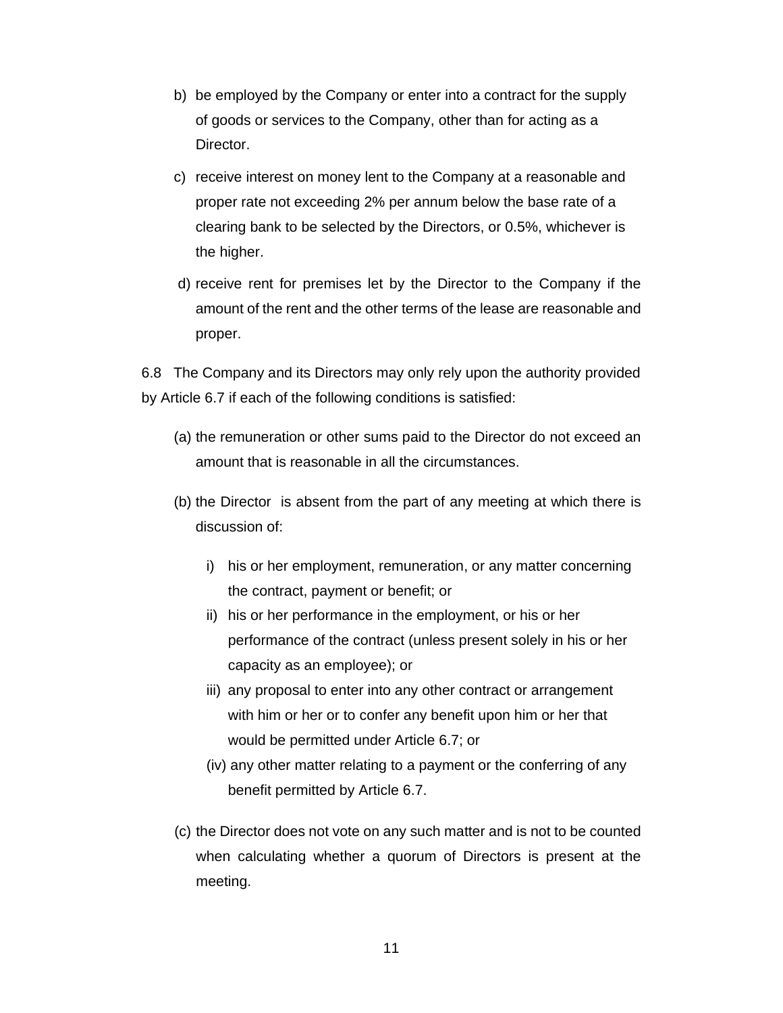- b) be employed by the Company or enter into a contract for the supply of goods or services to the Company, other than for acting as a Director.
- c) receive interest on money lent to the Company at a reasonable and proper rate not exceeding 2% per annum below the base rate of a clearing bank to be selected by the Directors, or 0.5%, whichever is the higher.
- d) receive rent for premises let by the Director to the Company if the amount of the rent and the other terms of the lease are reasonable and proper.

6.8 The Company and its Directors may only rely upon the authority provided by Article 6.7 if each of the following conditions is satisfied:

- (a) the remuneration or other sums paid to the Director do not exceed an amount that is reasonable in all the circumstances.
- (b) the Director is absent from the part of any meeting at which there is discussion of:
	- i) his or her employment, remuneration, or any matter concerning the contract, payment or benefit; or
	- ii) his or her performance in the employment, or his or her performance of the contract (unless present solely in his or her capacity as an employee); or
	- iii) any proposal to enter into any other contract or arrangement with him or her or to confer any benefit upon him or her that would be permitted under Article 6.7; or
	- (iv) any other matter relating to a payment or the conferring of any benefit permitted by Article 6.7.
- (c) the Director does not vote on any such matter and is not to be counted when calculating whether a quorum of Directors is present at the meeting.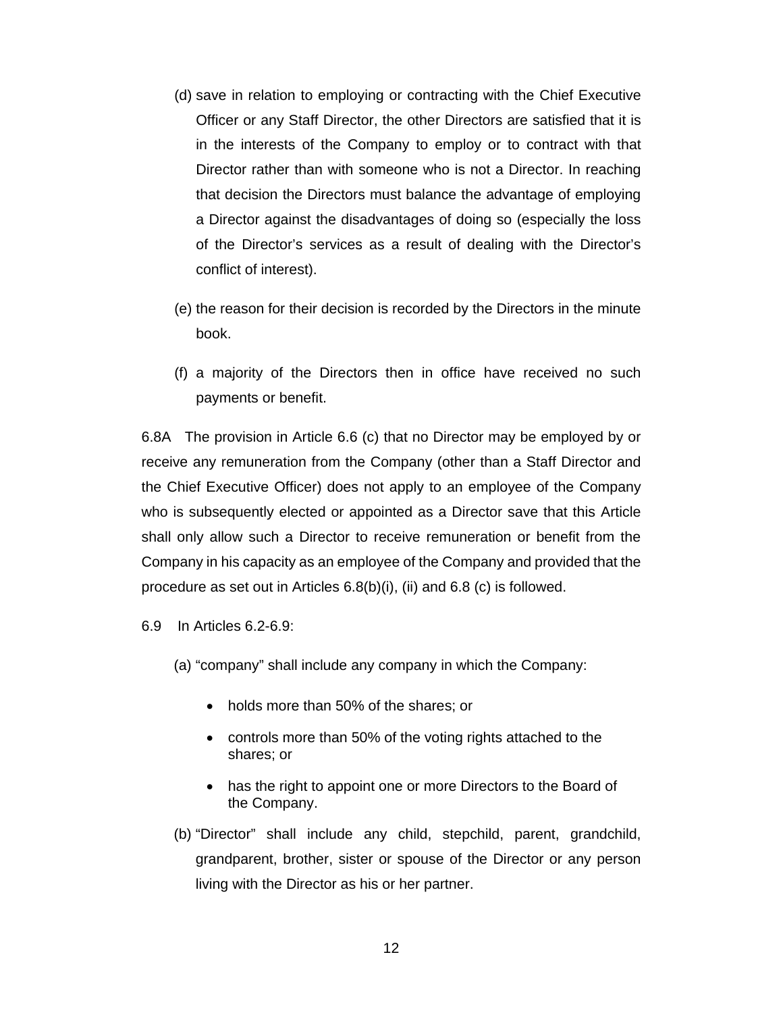- (d) save in relation to employing or contracting with the Chief Executive Officer or any Staff Director, the other Directors are satisfied that it is in the interests of the Company to employ or to contract with that Director rather than with someone who is not a Director. In reaching that decision the Directors must balance the advantage of employing a Director against the disadvantages of doing so (especially the loss of the Director's services as a result of dealing with the Director's conflict of interest).
- (e) the reason for their decision is recorded by the Directors in the minute book.
- (f) a majority of the Directors then in office have received no such payments or benefit.

6.8A The provision in Article 6.6 (c) that no Director may be employed by or receive any remuneration from the Company (other than a Staff Director and the Chief Executive Officer) does not apply to an employee of the Company who is subsequently elected or appointed as a Director save that this Article shall only allow such a Director to receive remuneration or benefit from the Company in his capacity as an employee of the Company and provided that the procedure as set out in Articles 6.8(b)(i), (ii) and 6.8 (c) is followed.

6.9 In Articles 6.2-6.9:

- (a) "company" shall include any company in which the Company:
	- holds more than 50% of the shares; or
	- controls more than 50% of the voting rights attached to the shares; or
	- has the right to appoint one or more Directors to the Board of the Company.
- (b) "Director" shall include any child, stepchild, parent, grandchild, grandparent, brother, sister or spouse of the Director or any person living with the Director as his or her partner.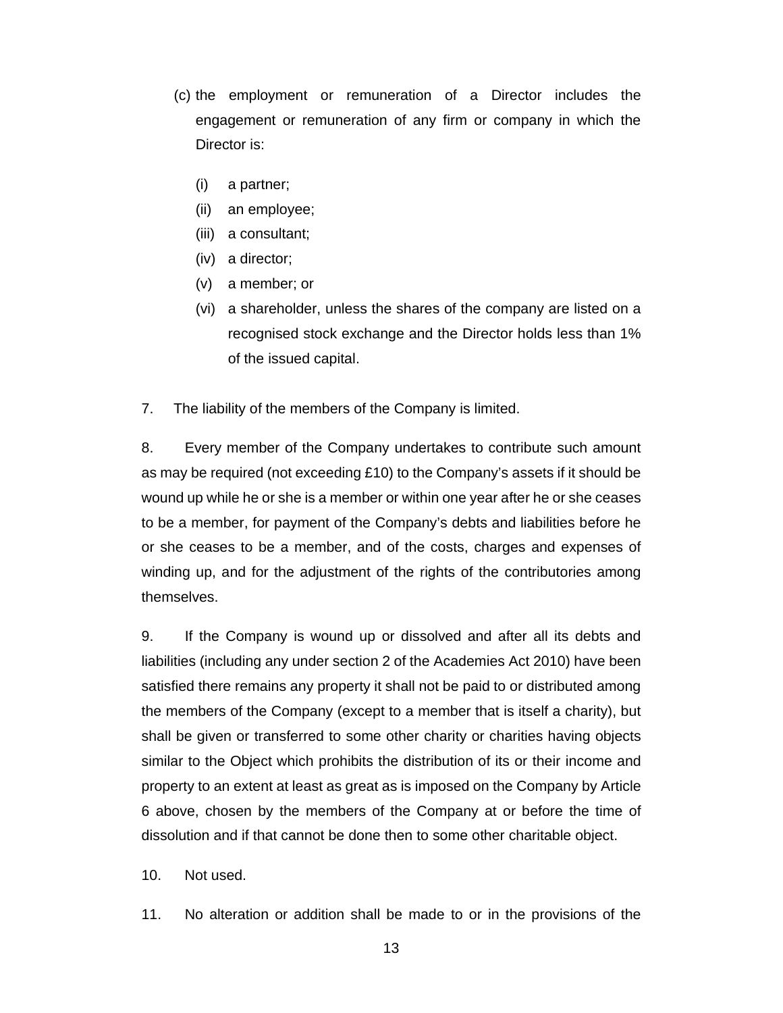- (c) the employment or remuneration of a Director includes the engagement or remuneration of any firm or company in which the Director is:
	- (i) a partner;
	- (ii) an employee;
	- (iii) a consultant;
	- (iv) a director;
	- (v) a member; or
	- (vi) a shareholder, unless the shares of the company are listed on a recognised stock exchange and the Director holds less than 1% of the issued capital.
- 7. The liability of the members of the Company is limited.

8. Every member of the Company undertakes to contribute such amount as may be required (not exceeding £10) to the Company's assets if it should be wound up while he or she is a member or within one year after he or she ceases to be a member, for payment of the Company's debts and liabilities before he or she ceases to be a member, and of the costs, charges and expenses of winding up, and for the adjustment of the rights of the contributories among themselves.

9. If the Company is wound up or dissolved and after all its debts and liabilities (including any under section 2 of the Academies Act 2010) have been satisfied there remains any property it shall not be paid to or distributed among the members of the Company (except to a member that is itself a charity), but shall be given or transferred to some other charity or charities having objects similar to the Object which prohibits the distribution of its or their income and property to an extent at least as great as is imposed on the Company by Article 6 above, chosen by the members of the Company at or before the time of dissolution and if that cannot be done then to some other charitable object.

10. Not used.

11. No alteration or addition shall be made to or in the provisions of the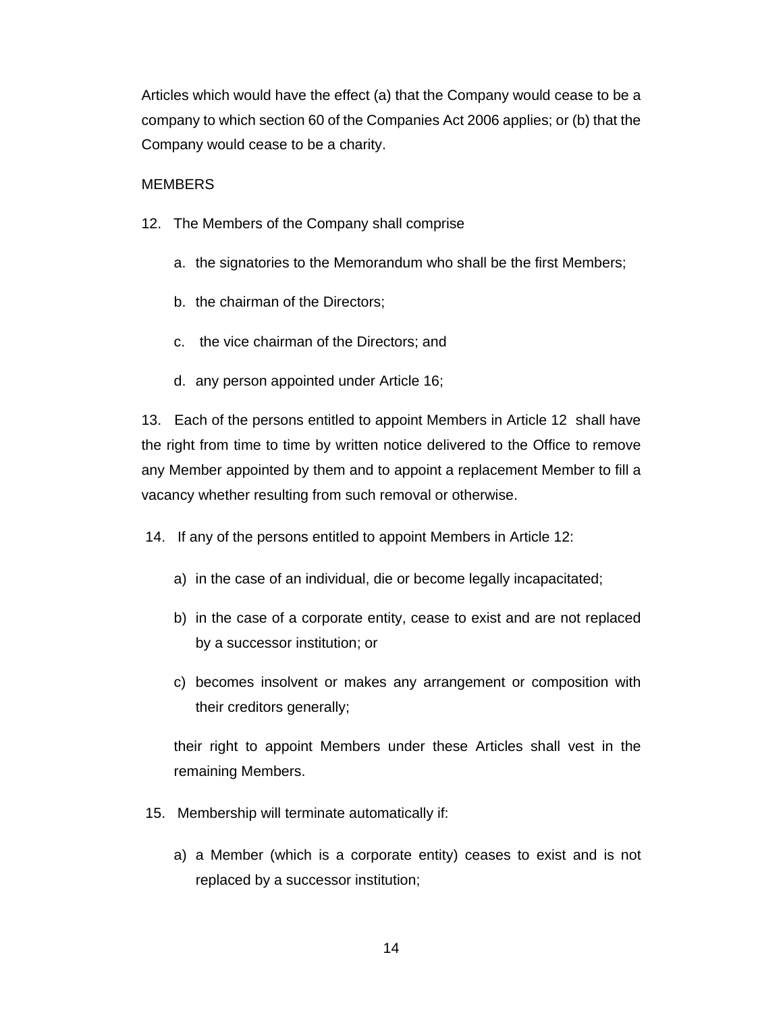Articles which would have the effect (a) that the Company would cease to be a company to which section 60 of the Companies Act 2006 applies; or (b) that the Company would cease to be a charity.

## **MEMBERS**

- 12. The Members of the Company shall comprise
	- a. the signatories to the Memorandum who shall be the first Members;
	- b. the chairman of the Directors;
	- c. the vice chairman of the Directors; and
	- d. any person appointed under Article 16;

13. Each of the persons entitled to appoint Members in Article 12 shall have the right from time to time by written notice delivered to the Office to remove any Member appointed by them and to appoint a replacement Member to fill a vacancy whether resulting from such removal or otherwise.

14. If any of the persons entitled to appoint Members in Article 12:

- a) in the case of an individual, die or become legally incapacitated;
- b) in the case of a corporate entity, cease to exist and are not replaced by a successor institution; or
- c) becomes insolvent or makes any arrangement or composition with their creditors generally;

their right to appoint Members under these Articles shall vest in the remaining Members.

- 15. Membership will terminate automatically if:
	- a) a Member (which is a corporate entity) ceases to exist and is not replaced by a successor institution;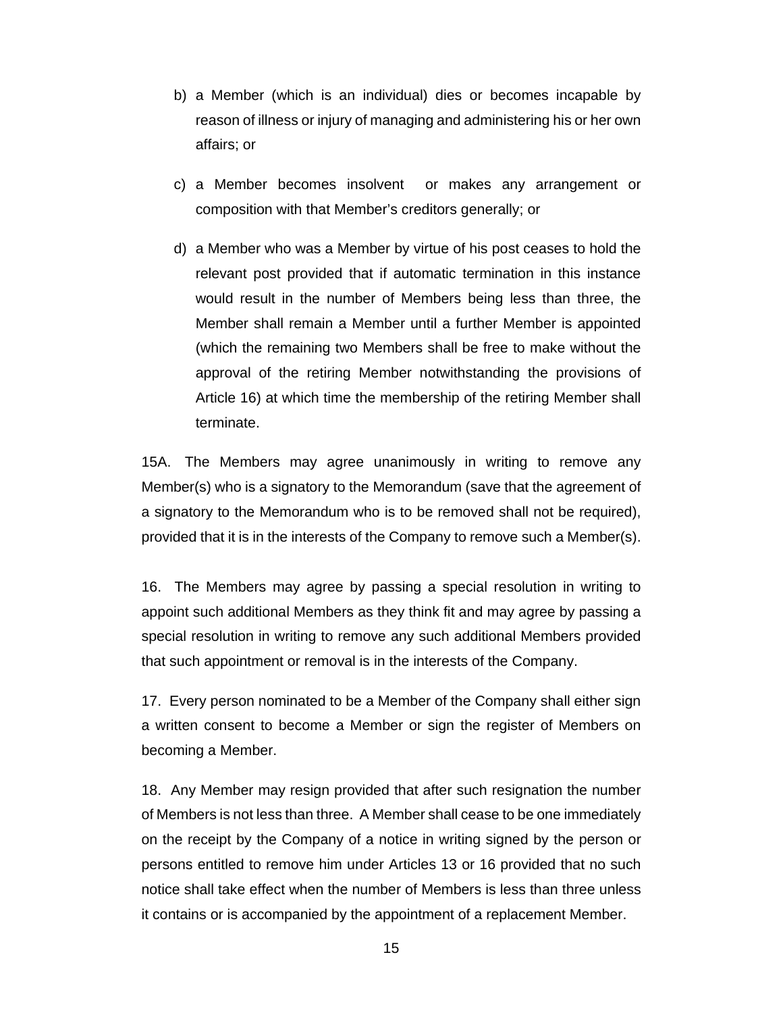- b) a Member (which is an individual) dies or becomes incapable by reason of illness or injury of managing and administering his or her own affairs; or
- c) a Member becomes insolvent or makes any arrangement or composition with that Member's creditors generally; or
- d) a Member who was a Member by virtue of his post ceases to hold the relevant post provided that if automatic termination in this instance would result in the number of Members being less than three, the Member shall remain a Member until a further Member is appointed (which the remaining two Members shall be free to make without the approval of the retiring Member notwithstanding the provisions of Article 16) at which time the membership of the retiring Member shall terminate.

15A. The Members may agree unanimously in writing to remove any Member(s) who is a signatory to the Memorandum (save that the agreement of a signatory to the Memorandum who is to be removed shall not be required), provided that it is in the interests of the Company to remove such a Member(s).

16. The Members may agree by passing a special resolution in writing to appoint such additional Members as they think fit and may agree by passing a special resolution in writing to remove any such additional Members provided that such appointment or removal is in the interests of the Company.

17. Every person nominated to be a Member of the Company shall either sign a written consent to become a Member or sign the register of Members on becoming a Member.

18. Any Member may resign provided that after such resignation the number of Members is not less than three. A Member shall cease to be one immediately on the receipt by the Company of a notice in writing signed by the person or persons entitled to remove him under Articles 13 or 16 provided that no such notice shall take effect when the number of Members is less than three unless it contains or is accompanied by the appointment of a replacement Member.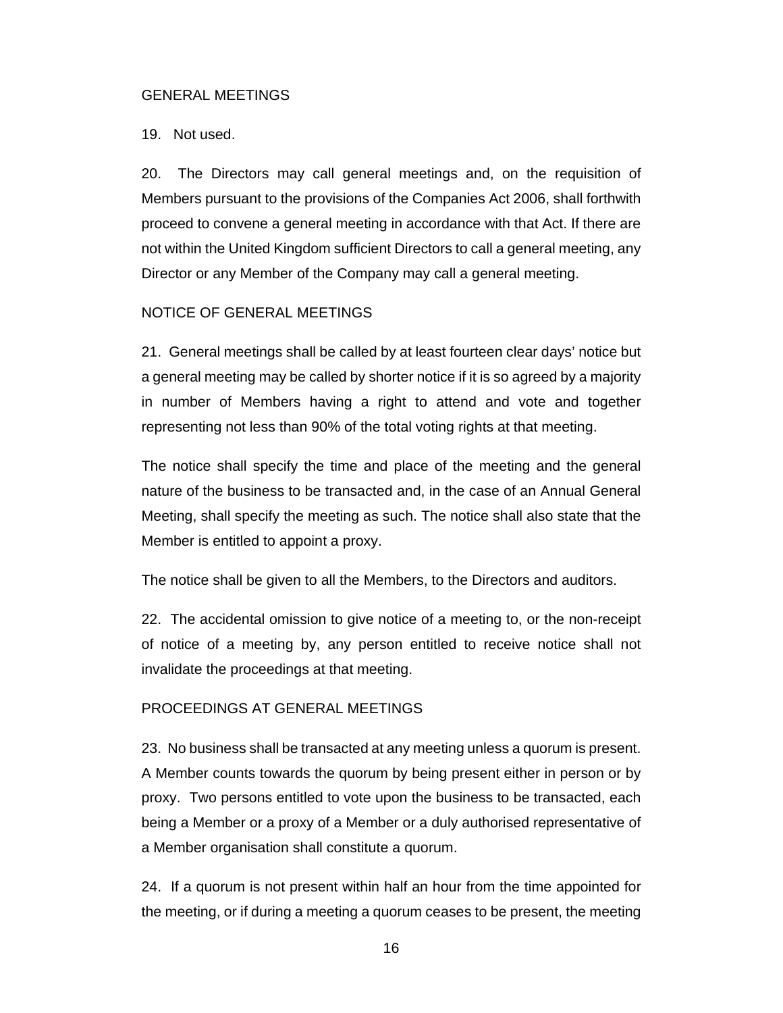#### GENERAL MEETINGS

#### 19. Not used.

20. The Directors may call general meetings and, on the requisition of Members pursuant to the provisions of the Companies Act 2006, shall forthwith proceed to convene a general meeting in accordance with that Act. If there are not within the United Kingdom sufficient Directors to call a general meeting, any Director or any Member of the Company may call a general meeting.

## NOTICE OF GENERAL MEETINGS

21. General meetings shall be called by at least fourteen clear days' notice but a general meeting may be called by shorter notice if it is so agreed by a majority in number of Members having a right to attend and vote and together representing not less than 90% of the total voting rights at that meeting.

The notice shall specify the time and place of the meeting and the general nature of the business to be transacted and, in the case of an Annual General Meeting, shall specify the meeting as such. The notice shall also state that the Member is entitled to appoint a proxy.

The notice shall be given to all the Members, to the Directors and auditors.

22. The accidental omission to give notice of a meeting to, or the non-receipt of notice of a meeting by, any person entitled to receive notice shall not invalidate the proceedings at that meeting.

## PROCEEDINGS AT GENERAL MEETINGS

23. No business shall be transacted at any meeting unless a quorum is present. A Member counts towards the quorum by being present either in person or by proxy. Two persons entitled to vote upon the business to be transacted, each being a Member or a proxy of a Member or a duly authorised representative of a Member organisation shall constitute a quorum.

24. If a quorum is not present within half an hour from the time appointed for the meeting, or if during a meeting a quorum ceases to be present, the meeting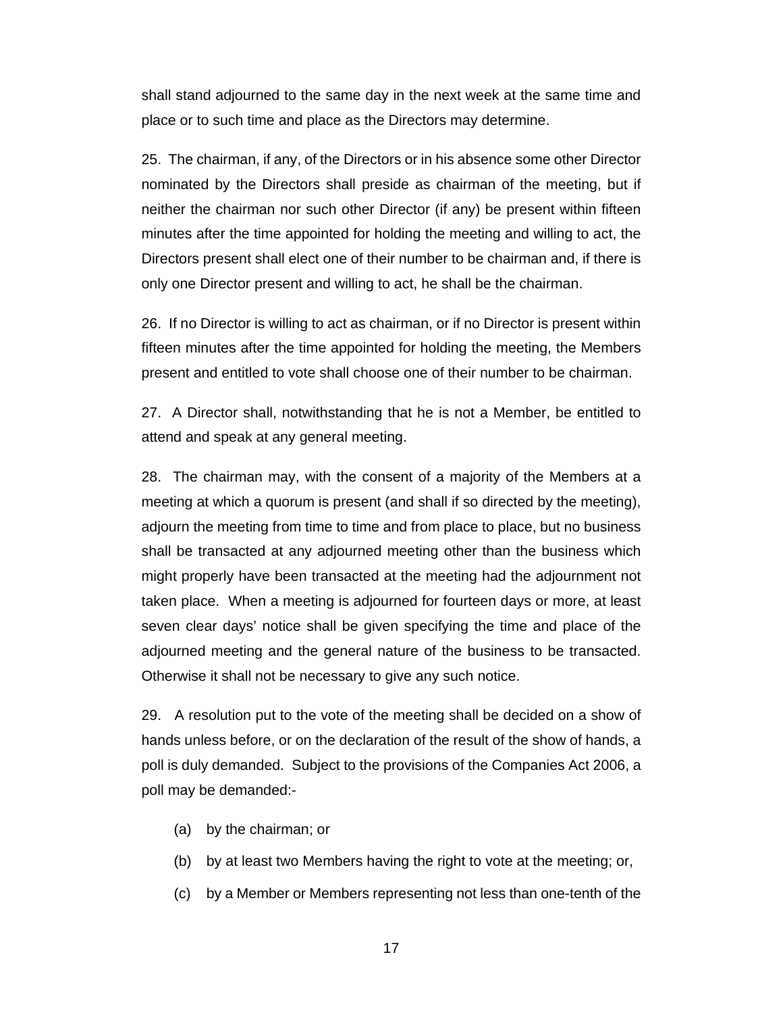shall stand adjourned to the same day in the next week at the same time and place or to such time and place as the Directors may determine.

25. The chairman, if any, of the Directors or in his absence some other Director nominated by the Directors shall preside as chairman of the meeting, but if neither the chairman nor such other Director (if any) be present within fifteen minutes after the time appointed for holding the meeting and willing to act, the Directors present shall elect one of their number to be chairman and, if there is only one Director present and willing to act, he shall be the chairman.

26. If no Director is willing to act as chairman, or if no Director is present within fifteen minutes after the time appointed for holding the meeting, the Members present and entitled to vote shall choose one of their number to be chairman.

27. A Director shall, notwithstanding that he is not a Member, be entitled to attend and speak at any general meeting.

28. The chairman may, with the consent of a majority of the Members at a meeting at which a quorum is present (and shall if so directed by the meeting), adjourn the meeting from time to time and from place to place, but no business shall be transacted at any adjourned meeting other than the business which might properly have been transacted at the meeting had the adjournment not taken place. When a meeting is adjourned for fourteen days or more, at least seven clear days' notice shall be given specifying the time and place of the adjourned meeting and the general nature of the business to be transacted. Otherwise it shall not be necessary to give any such notice.

29. A resolution put to the vote of the meeting shall be decided on a show of hands unless before, or on the declaration of the result of the show of hands, a poll is duly demanded. Subject to the provisions of the Companies Act 2006, a poll may be demanded:-

- (a) by the chairman; or
- (b) by at least two Members having the right to vote at the meeting; or,
- (c) by a Member or Members representing not less than one-tenth of the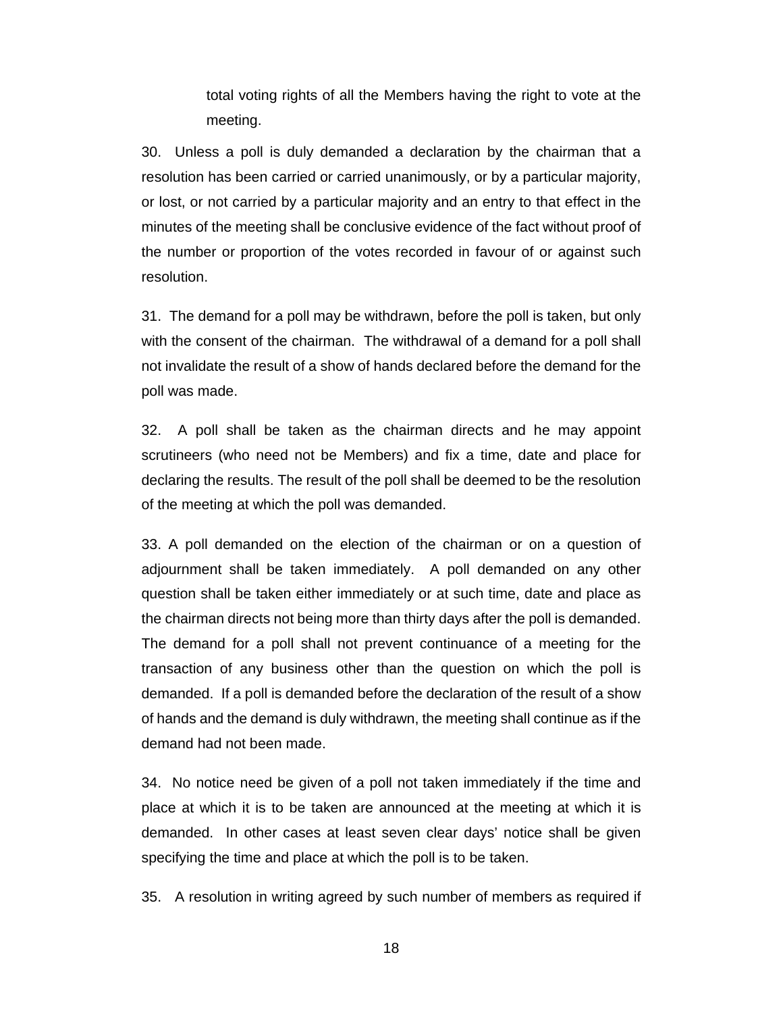total voting rights of all the Members having the right to vote at the meeting.

30. Unless a poll is duly demanded a declaration by the chairman that a resolution has been carried or carried unanimously, or by a particular majority, or lost, or not carried by a particular majority and an entry to that effect in the minutes of the meeting shall be conclusive evidence of the fact without proof of the number or proportion of the votes recorded in favour of or against such resolution.

31. The demand for a poll may be withdrawn, before the poll is taken, but only with the consent of the chairman. The withdrawal of a demand for a poll shall not invalidate the result of a show of hands declared before the demand for the poll was made.

32. A poll shall be taken as the chairman directs and he may appoint scrutineers (who need not be Members) and fix a time, date and place for declaring the results. The result of the poll shall be deemed to be the resolution of the meeting at which the poll was demanded.

33. A poll demanded on the election of the chairman or on a question of adjournment shall be taken immediately. A poll demanded on any other question shall be taken either immediately or at such time, date and place as the chairman directs not being more than thirty days after the poll is demanded. The demand for a poll shall not prevent continuance of a meeting for the transaction of any business other than the question on which the poll is demanded. If a poll is demanded before the declaration of the result of a show of hands and the demand is duly withdrawn, the meeting shall continue as if the demand had not been made.

34. No notice need be given of a poll not taken immediately if the time and place at which it is to be taken are announced at the meeting at which it is demanded. In other cases at least seven clear days' notice shall be given specifying the time and place at which the poll is to be taken.

35. A resolution in writing agreed by such number of members as required if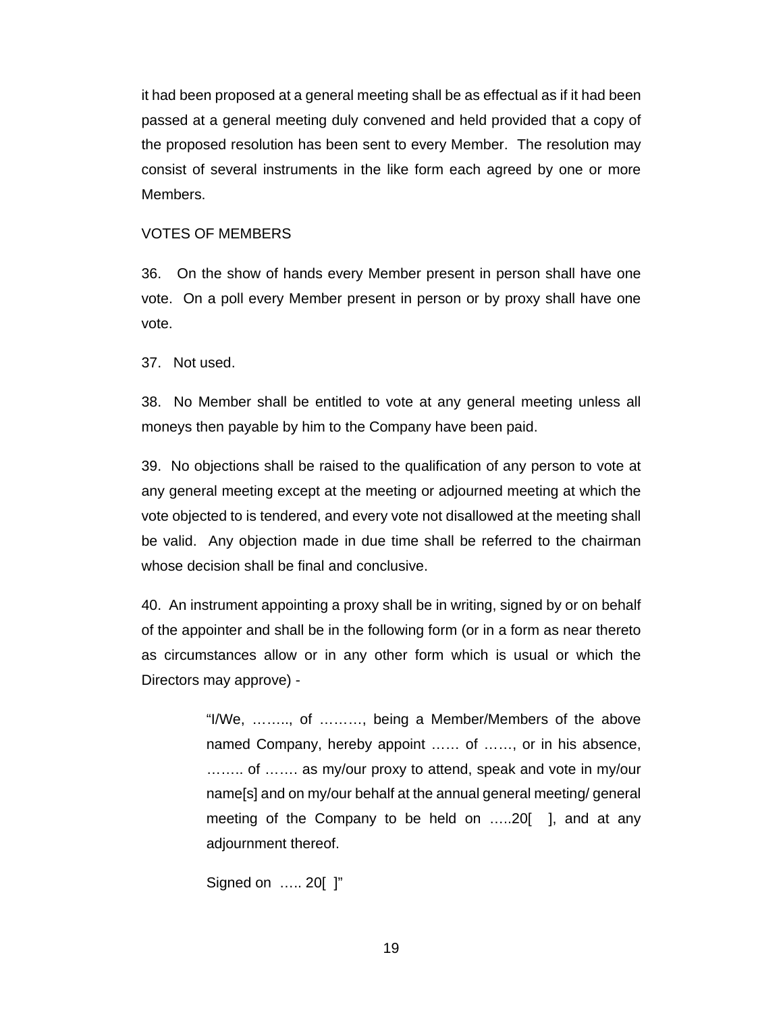it had been proposed at a general meeting shall be as effectual as if it had been passed at a general meeting duly convened and held provided that a copy of the proposed resolution has been sent to every Member. The resolution may consist of several instruments in the like form each agreed by one or more Members.

#### VOTES OF MEMBERS

36. On the show of hands every Member present in person shall have one vote. On a poll every Member present in person or by proxy shall have one vote.

37. Not used.

38. No Member shall be entitled to vote at any general meeting unless all moneys then payable by him to the Company have been paid.

39. No objections shall be raised to the qualification of any person to vote at any general meeting except at the meeting or adjourned meeting at which the vote objected to is tendered, and every vote not disallowed at the meeting shall be valid. Any objection made in due time shall be referred to the chairman whose decision shall be final and conclusive.

40. An instrument appointing a proxy shall be in writing, signed by or on behalf of the appointer and shall be in the following form (or in a form as near thereto as circumstances allow or in any other form which is usual or which the Directors may approve) -

> "I/We, …….., of ………, being a Member/Members of the above named Company, hereby appoint …… of ……, or in his absence, …….. of ……. as my/our proxy to attend, speak and vote in my/our name[s] and on my/our behalf at the annual general meeting/ general meeting of the Company to be held on …..20[ ], and at any adjournment thereof.

Signed on ….. 20[ ]"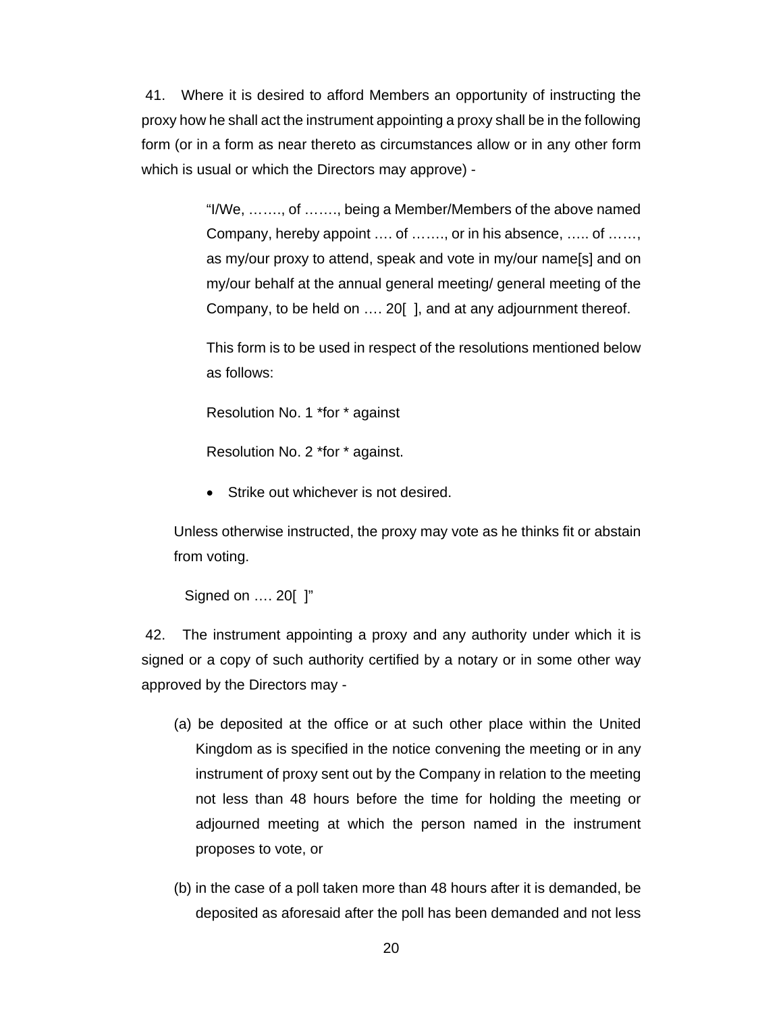41. Where it is desired to afford Members an opportunity of instructing the proxy how he shall act the instrument appointing a proxy shall be in the following form (or in a form as near thereto as circumstances allow or in any other form which is usual or which the Directors may approve) -

> "I/We, ……., of ……., being a Member/Members of the above named Company, hereby appoint …. of ……., or in his absence, ….. of ……, as my/our proxy to attend, speak and vote in my/our name[s] and on my/our behalf at the annual general meeting/ general meeting of the Company, to be held on …. 20[ ], and at any adjournment thereof.

> This form is to be used in respect of the resolutions mentioned below as follows:

Resolution No. 1 \*for \* against

Resolution No. 2 \*for \* against.

Strike out whichever is not desired.

Unless otherwise instructed, the proxy may vote as he thinks fit or abstain from voting.

Signed on …. 20[ ]"

 42. The instrument appointing a proxy and any authority under which it is signed or a copy of such authority certified by a notary or in some other way approved by the Directors may -

- (a) be deposited at the office or at such other place within the United Kingdom as is specified in the notice convening the meeting or in any instrument of proxy sent out by the Company in relation to the meeting not less than 48 hours before the time for holding the meeting or adjourned meeting at which the person named in the instrument proposes to vote, or
- (b) in the case of a poll taken more than 48 hours after it is demanded, be deposited as aforesaid after the poll has been demanded and not less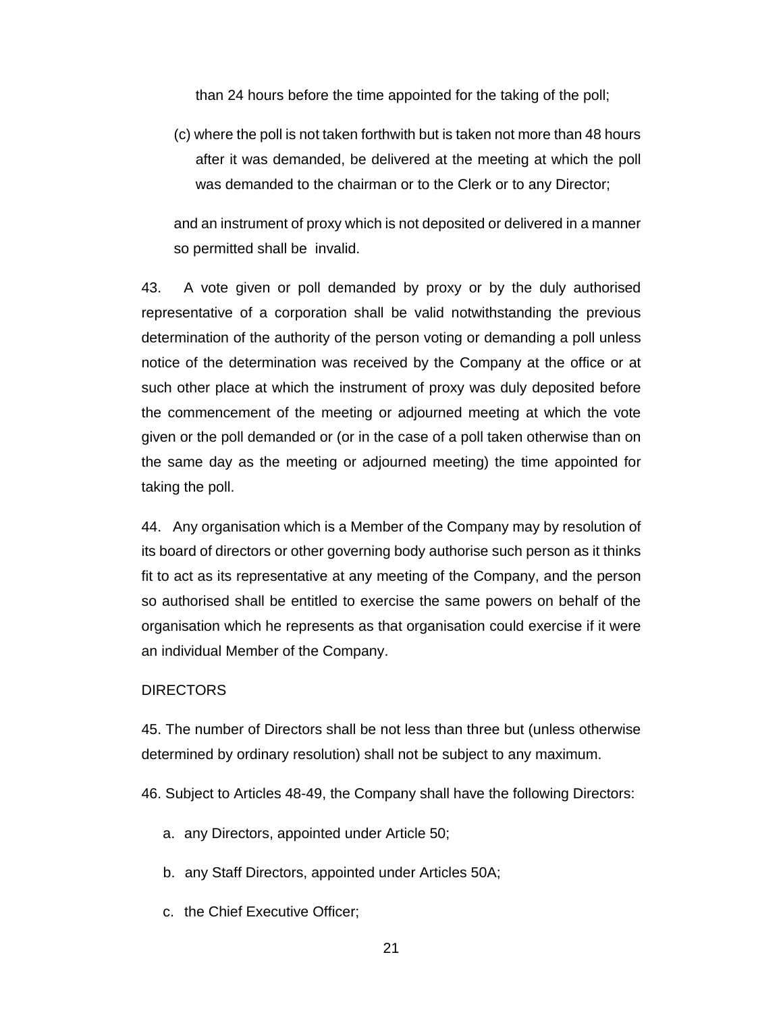than 24 hours before the time appointed for the taking of the poll;

(c) where the poll is not taken forthwith but is taken not more than 48 hours after it was demanded, be delivered at the meeting at which the poll was demanded to the chairman or to the Clerk or to any Director;

and an instrument of proxy which is not deposited or delivered in a manner so permitted shall be invalid.

43. A vote given or poll demanded by proxy or by the duly authorised representative of a corporation shall be valid notwithstanding the previous determination of the authority of the person voting or demanding a poll unless notice of the determination was received by the Company at the office or at such other place at which the instrument of proxy was duly deposited before the commencement of the meeting or adjourned meeting at which the vote given or the poll demanded or (or in the case of a poll taken otherwise than on the same day as the meeting or adjourned meeting) the time appointed for taking the poll.

44. Any organisation which is a Member of the Company may by resolution of its board of directors or other governing body authorise such person as it thinks fit to act as its representative at any meeting of the Company, and the person so authorised shall be entitled to exercise the same powers on behalf of the organisation which he represents as that organisation could exercise if it were an individual Member of the Company.

#### **DIRECTORS**

45. The number of Directors shall be not less than three but (unless otherwise determined by ordinary resolution) shall not be subject to any maximum.

46. Subject to Articles 48-49, the Company shall have the following Directors:

- a. any Directors, appointed under Article 50;
- b. any Staff Directors, appointed under Articles 50A;
- c. the Chief Executive Officer;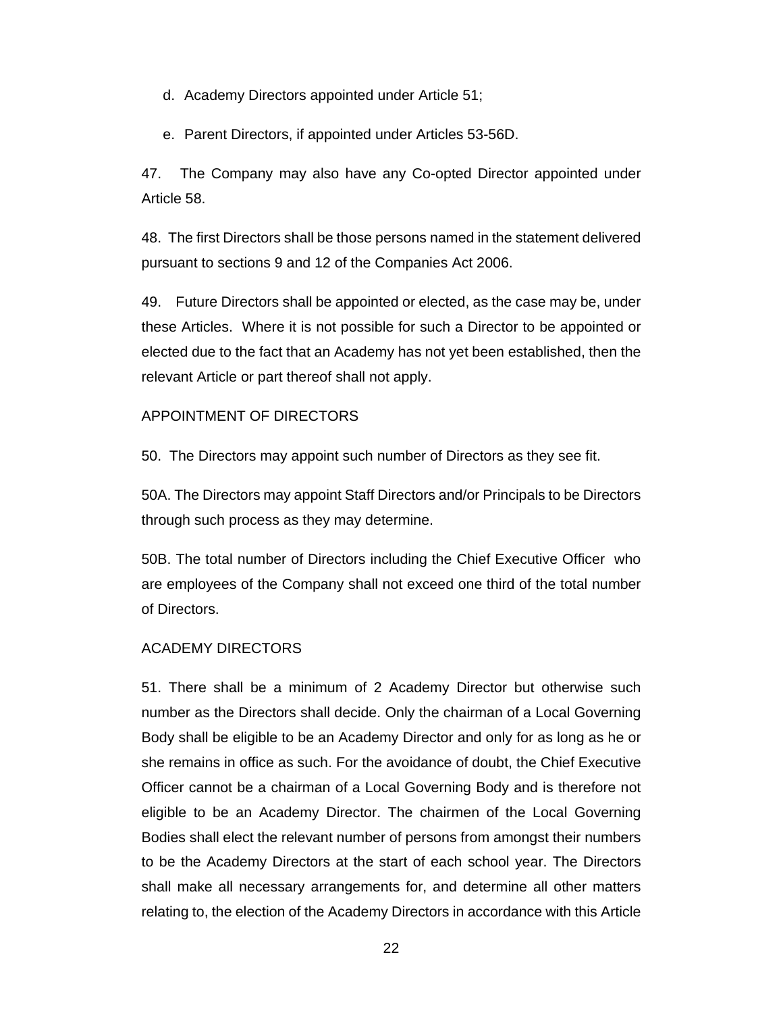d. Academy Directors appointed under Article 51;

e. Parent Directors, if appointed under Articles 53-56D.

47. The Company may also have any Co-opted Director appointed under Article 58.

48. The first Directors shall be those persons named in the statement delivered pursuant to sections 9 and 12 of the Companies Act 2006.

49. Future Directors shall be appointed or elected, as the case may be, under these Articles. Where it is not possible for such a Director to be appointed or elected due to the fact that an Academy has not yet been established, then the relevant Article or part thereof shall not apply.

## APPOINTMENT OF DIRECTORS

50. The Directors may appoint such number of Directors as they see fit.

50A. The Directors may appoint Staff Directors and/or Principals to be Directors through such process as they may determine.

50B. The total number of Directors including the Chief Executive Officer who are employees of the Company shall not exceed one third of the total number of Directors.

## ACADEMY DIRECTORS

51. There shall be a minimum of 2 Academy Director but otherwise such number as the Directors shall decide. Only the chairman of a Local Governing Body shall be eligible to be an Academy Director and only for as long as he or she remains in office as such. For the avoidance of doubt, the Chief Executive Officer cannot be a chairman of a Local Governing Body and is therefore not eligible to be an Academy Director. The chairmen of the Local Governing Bodies shall elect the relevant number of persons from amongst their numbers to be the Academy Directors at the start of each school year. The Directors shall make all necessary arrangements for, and determine all other matters relating to, the election of the Academy Directors in accordance with this Article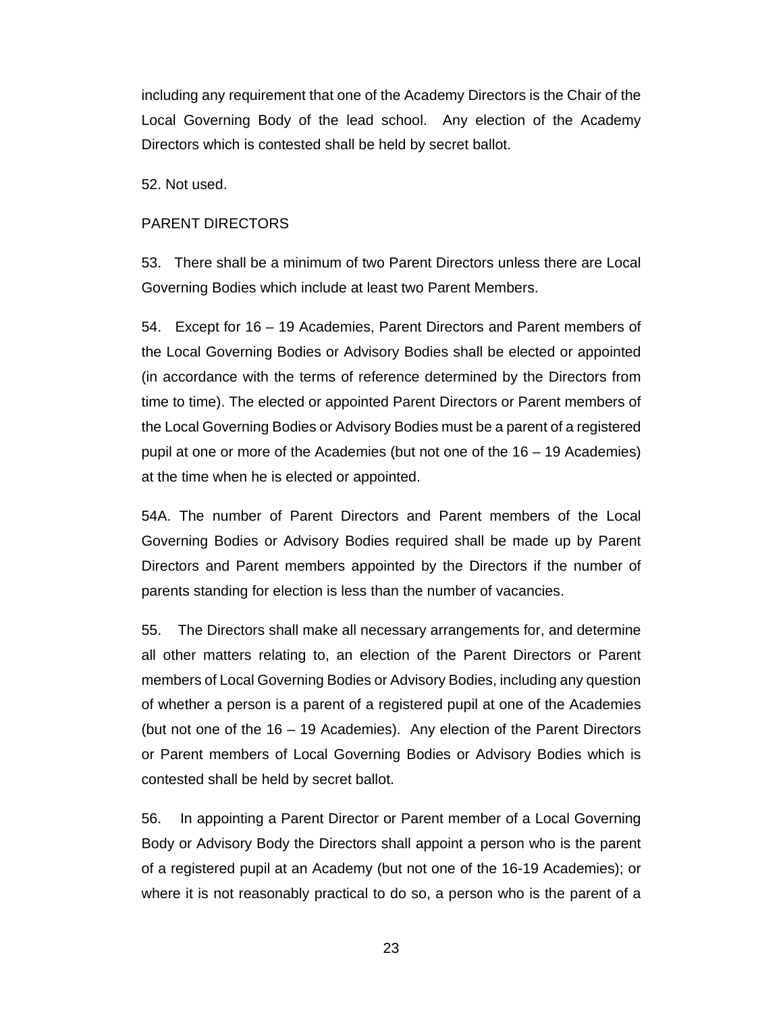including any requirement that one of the Academy Directors is the Chair of the Local Governing Body of the lead school. Any election of the Academy Directors which is contested shall be held by secret ballot.

52. Not used.

#### PARENT DIRECTORS

53. There shall be a minimum of two Parent Directors unless there are Local Governing Bodies which include at least two Parent Members.

54. Except for 16 – 19 Academies, Parent Directors and Parent members of the Local Governing Bodies or Advisory Bodies shall be elected or appointed (in accordance with the terms of reference determined by the Directors from time to time). The elected or appointed Parent Directors or Parent members of the Local Governing Bodies or Advisory Bodies must be a parent of a registered pupil at one or more of the Academies (but not one of the 16 – 19 Academies) at the time when he is elected or appointed.

54A. The number of Parent Directors and Parent members of the Local Governing Bodies or Advisory Bodies required shall be made up by Parent Directors and Parent members appointed by the Directors if the number of parents standing for election is less than the number of vacancies.

55. The Directors shall make all necessary arrangements for, and determine all other matters relating to, an election of the Parent Directors or Parent members of Local Governing Bodies or Advisory Bodies, including any question of whether a person is a parent of a registered pupil at one of the Academies (but not one of the 16 – 19 Academies). Any election of the Parent Directors or Parent members of Local Governing Bodies or Advisory Bodies which is contested shall be held by secret ballot.

56. In appointing a Parent Director or Parent member of a Local Governing Body or Advisory Body the Directors shall appoint a person who is the parent of a registered pupil at an Academy (but not one of the 16-19 Academies); or where it is not reasonably practical to do so, a person who is the parent of a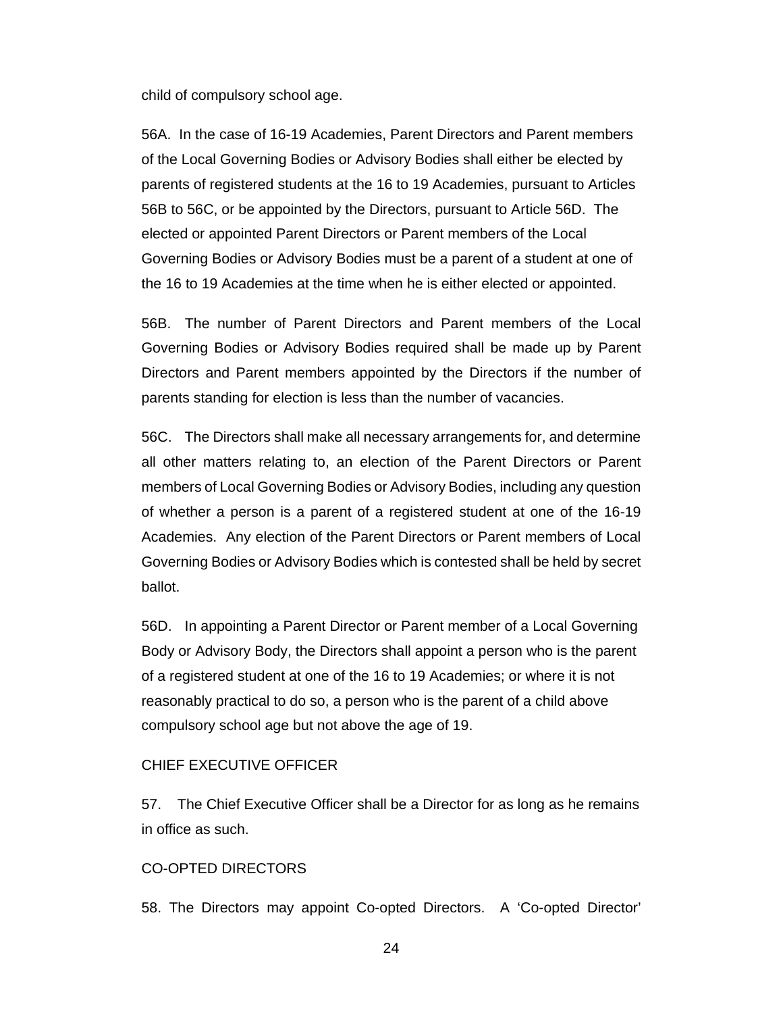child of compulsory school age.

56A. In the case of 16-19 Academies, Parent Directors and Parent members of the Local Governing Bodies or Advisory Bodies shall either be elected by parents of registered students at the 16 to 19 Academies, pursuant to Articles 56B to 56C, or be appointed by the Directors, pursuant to Article 56D. The elected or appointed Parent Directors or Parent members of the Local Governing Bodies or Advisory Bodies must be a parent of a student at one of the 16 to 19 Academies at the time when he is either elected or appointed.

56B. The number of Parent Directors and Parent members of the Local Governing Bodies or Advisory Bodies required shall be made up by Parent Directors and Parent members appointed by the Directors if the number of parents standing for election is less than the number of vacancies.

56C. The Directors shall make all necessary arrangements for, and determine all other matters relating to, an election of the Parent Directors or Parent members of Local Governing Bodies or Advisory Bodies, including any question of whether a person is a parent of a registered student at one of the 16-19 Academies. Any election of the Parent Directors or Parent members of Local Governing Bodies or Advisory Bodies which is contested shall be held by secret ballot.

56D. In appointing a Parent Director or Parent member of a Local Governing Body or Advisory Body, the Directors shall appoint a person who is the parent of a registered student at one of the 16 to 19 Academies; or where it is not reasonably practical to do so, a person who is the parent of a child above compulsory school age but not above the age of 19.

#### CHIEF EXECUTIVE OFFICER

57. The Chief Executive Officer shall be a Director for as long as he remains in office as such.

## CO-OPTED DIRECTORS

58. The Directors may appoint Co-opted Directors. A 'Co-opted Director'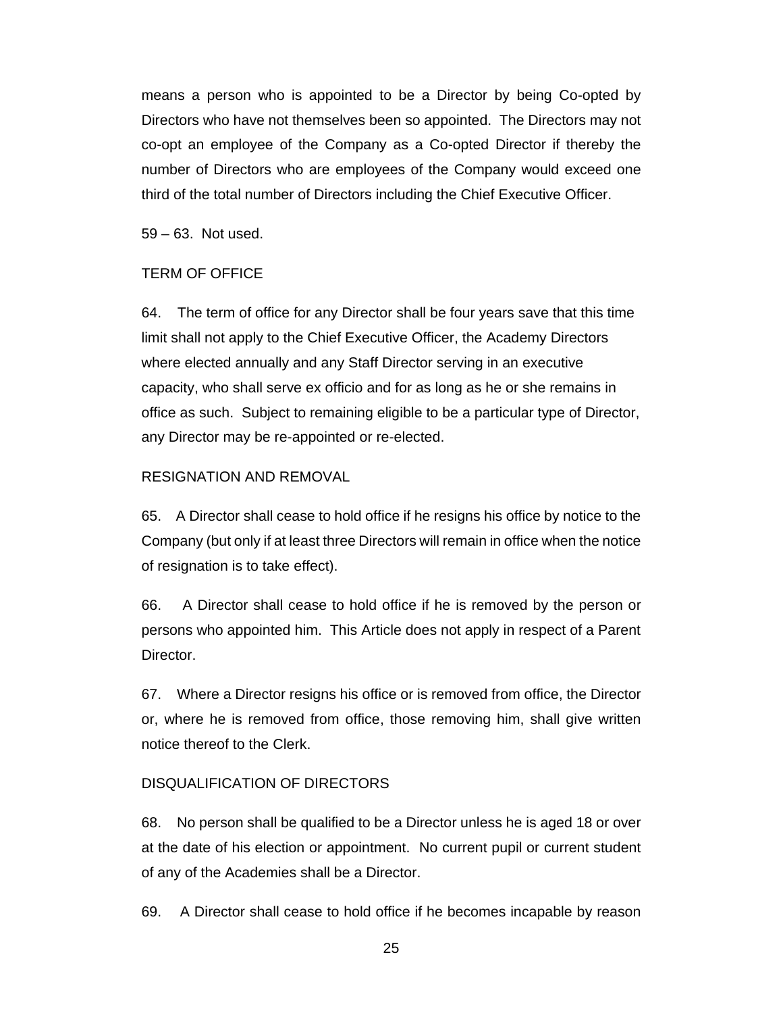means a person who is appointed to be a Director by being Co-opted by Directors who have not themselves been so appointed. The Directors may not co-opt an employee of the Company as a Co-opted Director if thereby the number of Directors who are employees of the Company would exceed one third of the total number of Directors including the Chief Executive Officer.

59 – 63. Not used.

## TERM OF OFFICE

64. The term of office for any Director shall be four years save that this time limit shall not apply to the Chief Executive Officer, the Academy Directors where elected annually and any Staff Director serving in an executive capacity, who shall serve ex officio and for as long as he or she remains in office as such. Subject to remaining eligible to be a particular type of Director, any Director may be re-appointed or re-elected.

## RESIGNATION AND REMOVAL

65. A Director shall cease to hold office if he resigns his office by notice to the Company (but only if at least three Directors will remain in office when the notice of resignation is to take effect).

66. A Director shall cease to hold office if he is removed by the person or persons who appointed him. This Article does not apply in respect of a Parent Director.

67. Where a Director resigns his office or is removed from office, the Director or, where he is removed from office, those removing him, shall give written notice thereof to the Clerk.

## DISQUALIFICATION OF DIRECTORS

68. No person shall be qualified to be a Director unless he is aged 18 or over at the date of his election or appointment. No current pupil or current student of any of the Academies shall be a Director.

69. A Director shall cease to hold office if he becomes incapable by reason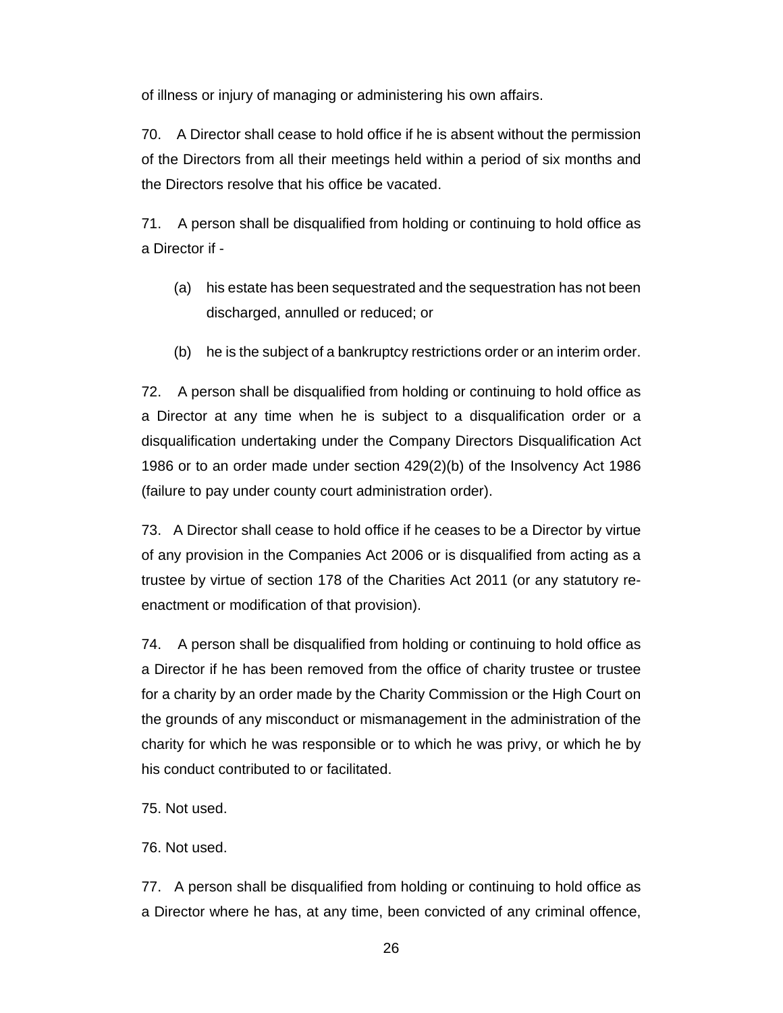of illness or injury of managing or administering his own affairs.

70. A Director shall cease to hold office if he is absent without the permission of the Directors from all their meetings held within a period of six months and the Directors resolve that his office be vacated.

71. A person shall be disqualified from holding or continuing to hold office as a Director if -

- (a) his estate has been sequestrated and the sequestration has not been discharged, annulled or reduced; or
- (b) he is the subject of a bankruptcy restrictions order or an interim order.

72. A person shall be disqualified from holding or continuing to hold office as a Director at any time when he is subject to a disqualification order or a disqualification undertaking under the Company Directors Disqualification Act 1986 or to an order made under section 429(2)(b) of the Insolvency Act 1986 (failure to pay under county court administration order).

73. A Director shall cease to hold office if he ceases to be a Director by virtue of any provision in the Companies Act 2006 or is disqualified from acting as a trustee by virtue of section 178 of the Charities Act 2011 (or any statutory reenactment or modification of that provision).

74. A person shall be disqualified from holding or continuing to hold office as a Director if he has been removed from the office of charity trustee or trustee for a charity by an order made by the Charity Commission or the High Court on the grounds of any misconduct or mismanagement in the administration of the charity for which he was responsible or to which he was privy, or which he by his conduct contributed to or facilitated.

75. Not used.

76. Not used.

77. A person shall be disqualified from holding or continuing to hold office as a Director where he has, at any time, been convicted of any criminal offence,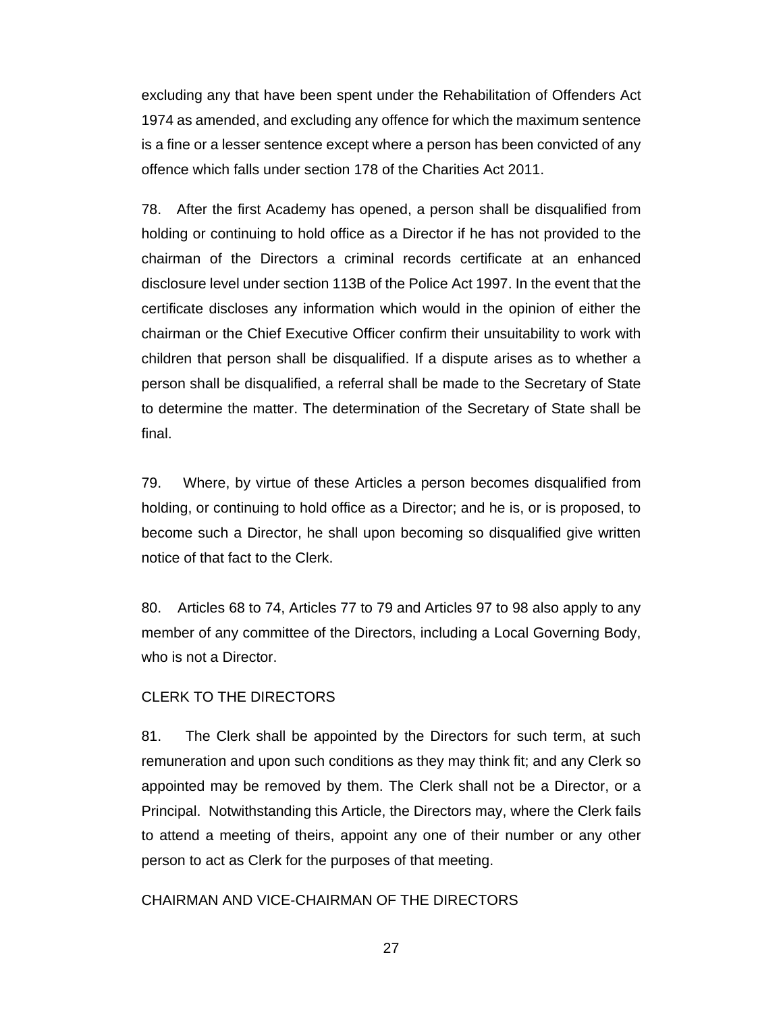excluding any that have been spent under the Rehabilitation of Offenders Act 1974 as amended, and excluding any offence for which the maximum sentence is a fine or a lesser sentence except where a person has been convicted of any offence which falls under section 178 of the Charities Act 2011.

78. After the first Academy has opened, a person shall be disqualified from holding or continuing to hold office as a Director if he has not provided to the chairman of the Directors a criminal records certificate at an enhanced disclosure level under section 113B of the Police Act 1997. In the event that the certificate discloses any information which would in the opinion of either the chairman or the Chief Executive Officer confirm their unsuitability to work with children that person shall be disqualified. If a dispute arises as to whether a person shall be disqualified, a referral shall be made to the Secretary of State to determine the matter. The determination of the Secretary of State shall be final.

79. Where, by virtue of these Articles a person becomes disqualified from holding, or continuing to hold office as a Director; and he is, or is proposed, to become such a Director, he shall upon becoming so disqualified give written notice of that fact to the Clerk.

80. Articles 68 to 74, Articles 77 to 79 and Articles 97 to 98 also apply to any member of any committee of the Directors, including a Local Governing Body, who is not a Director.

#### CLERK TO THE DIRECTORS

81. The Clerk shall be appointed by the Directors for such term, at such remuneration and upon such conditions as they may think fit; and any Clerk so appointed may be removed by them. The Clerk shall not be a Director, or a Principal. Notwithstanding this Article, the Directors may, where the Clerk fails to attend a meeting of theirs, appoint any one of their number or any other person to act as Clerk for the purposes of that meeting.

#### CHAIRMAN AND VICE-CHAIRMAN OF THE DIRECTORS

27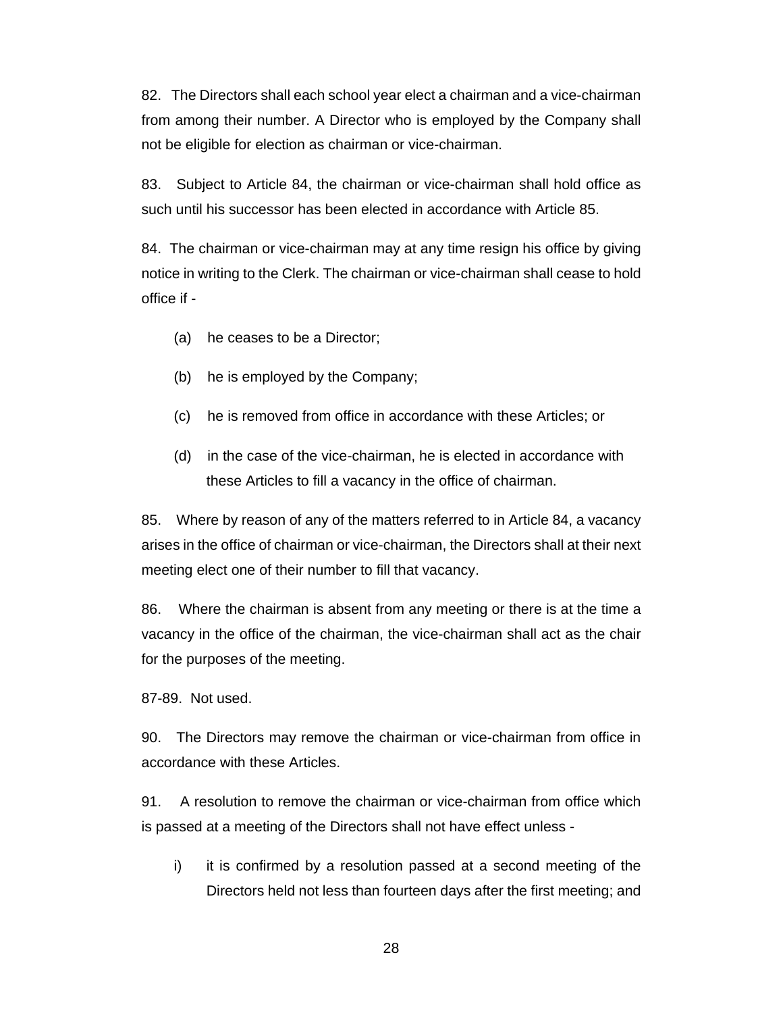82. The Directors shall each school year elect a chairman and a vice-chairman from among their number. A Director who is employed by the Company shall not be eligible for election as chairman or vice-chairman.

83. Subject to Article 84, the chairman or vice-chairman shall hold office as such until his successor has been elected in accordance with Article 85.

84. The chairman or vice-chairman may at any time resign his office by giving notice in writing to the Clerk. The chairman or vice-chairman shall cease to hold office if -

- (a) he ceases to be a Director;
- (b) he is employed by the Company;
- (c) he is removed from office in accordance with these Articles; or
- (d) in the case of the vice-chairman, he is elected in accordance with these Articles to fill a vacancy in the office of chairman.

85. Where by reason of any of the matters referred to in Article 84, a vacancy arises in the office of chairman or vice-chairman, the Directors shall at their next meeting elect one of their number to fill that vacancy.

86. Where the chairman is absent from any meeting or there is at the time a vacancy in the office of the chairman, the vice-chairman shall act as the chair for the purposes of the meeting.

87-89. Not used.

90. The Directors may remove the chairman or vice-chairman from office in accordance with these Articles.

91. A resolution to remove the chairman or vice-chairman from office which is passed at a meeting of the Directors shall not have effect unless -

i) it is confirmed by a resolution passed at a second meeting of the Directors held not less than fourteen days after the first meeting; and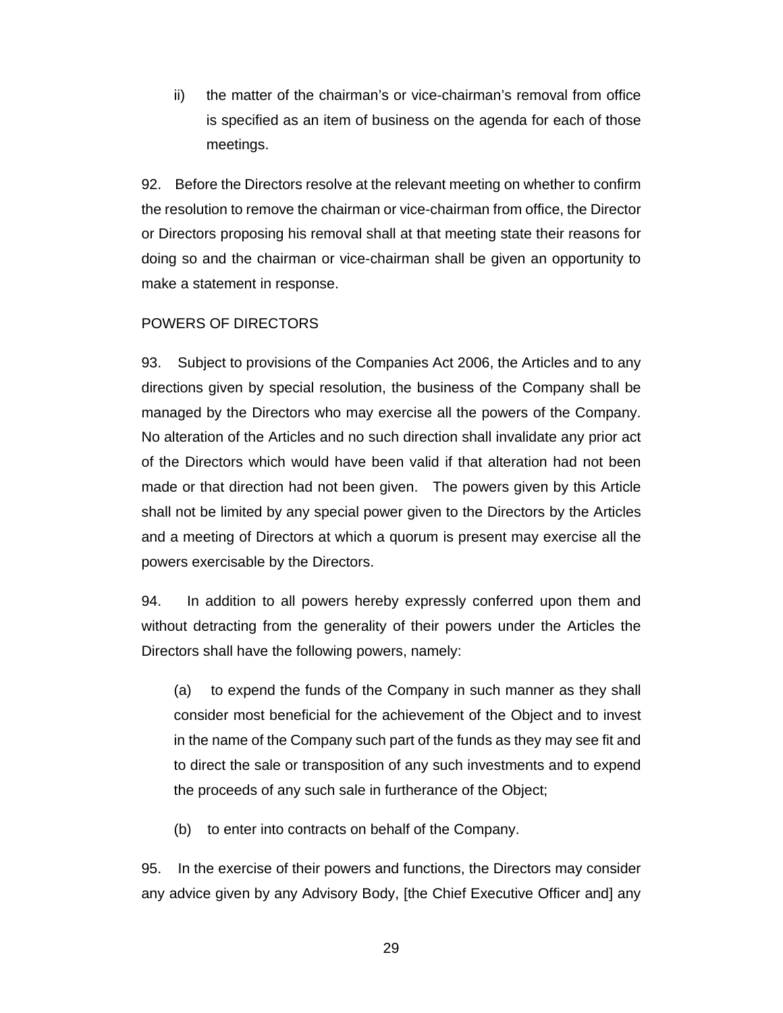ii) the matter of the chairman's or vice-chairman's removal from office is specified as an item of business on the agenda for each of those meetings.

92. Before the Directors resolve at the relevant meeting on whether to confirm the resolution to remove the chairman or vice-chairman from office, the Director or Directors proposing his removal shall at that meeting state their reasons for doing so and the chairman or vice-chairman shall be given an opportunity to make a statement in response.

## POWERS OF DIRECTORS

93. Subject to provisions of the Companies Act 2006, the Articles and to any directions given by special resolution, the business of the Company shall be managed by the Directors who may exercise all the powers of the Company. No alteration of the Articles and no such direction shall invalidate any prior act of the Directors which would have been valid if that alteration had not been made or that direction had not been given. The powers given by this Article shall not be limited by any special power given to the Directors by the Articles and a meeting of Directors at which a quorum is present may exercise all the powers exercisable by the Directors.

94. In addition to all powers hereby expressly conferred upon them and without detracting from the generality of their powers under the Articles the Directors shall have the following powers, namely:

(a) to expend the funds of the Company in such manner as they shall consider most beneficial for the achievement of the Object and to invest in the name of the Company such part of the funds as they may see fit and to direct the sale or transposition of any such investments and to expend the proceeds of any such sale in furtherance of the Object;

(b) to enter into contracts on behalf of the Company.

95. In the exercise of their powers and functions, the Directors may consider any advice given by any Advisory Body, [the Chief Executive Officer and] any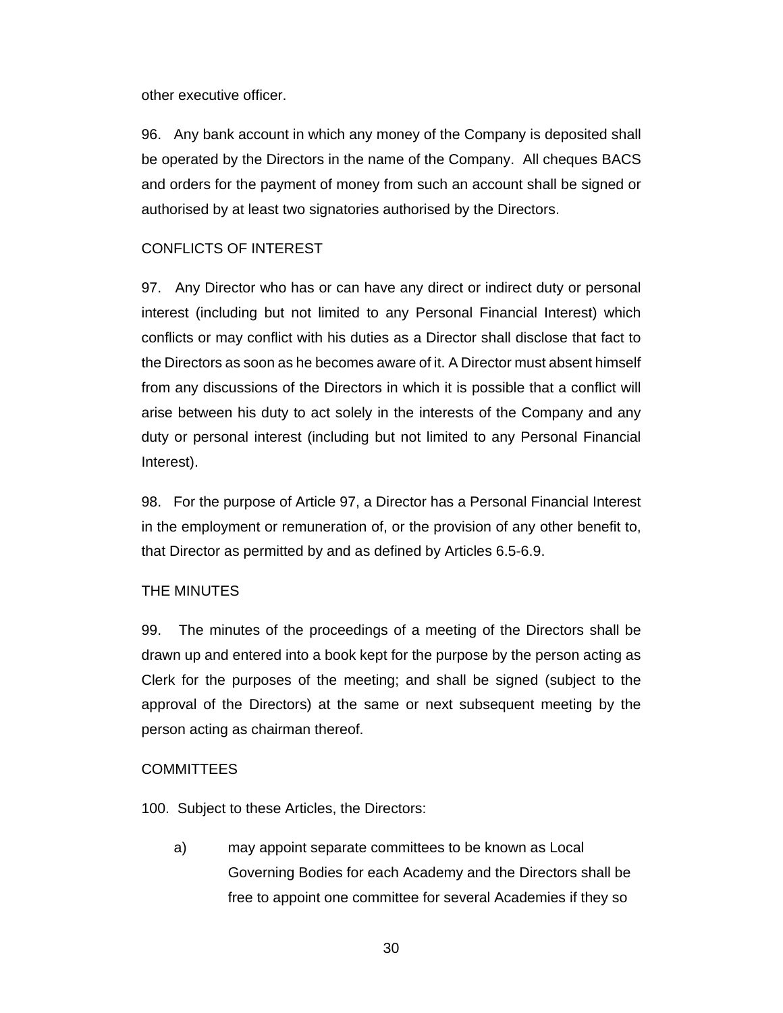other executive officer.

96. Any bank account in which any money of the Company is deposited shall be operated by the Directors in the name of the Company. All cheques BACS and orders for the payment of money from such an account shall be signed or authorised by at least two signatories authorised by the Directors.

## CONFLICTS OF INTEREST

97. Any Director who has or can have any direct or indirect duty or personal interest (including but not limited to any Personal Financial Interest) which conflicts or may conflict with his duties as a Director shall disclose that fact to the Directors as soon as he becomes aware of it. A Director must absent himself from any discussions of the Directors in which it is possible that a conflict will arise between his duty to act solely in the interests of the Company and any duty or personal interest (including but not limited to any Personal Financial Interest).

98. For the purpose of Article 97, a Director has a Personal Financial Interest in the employment or remuneration of, or the provision of any other benefit to, that Director as permitted by and as defined by Articles 6.5-6.9.

## THE MINUTES

99. The minutes of the proceedings of a meeting of the Directors shall be drawn up and entered into a book kept for the purpose by the person acting as Clerk for the purposes of the meeting; and shall be signed (subject to the approval of the Directors) at the same or next subsequent meeting by the person acting as chairman thereof.

## **COMMITTEES**

100. Subject to these Articles, the Directors:

a) may appoint separate committees to be known as Local Governing Bodies for each Academy and the Directors shall be free to appoint one committee for several Academies if they so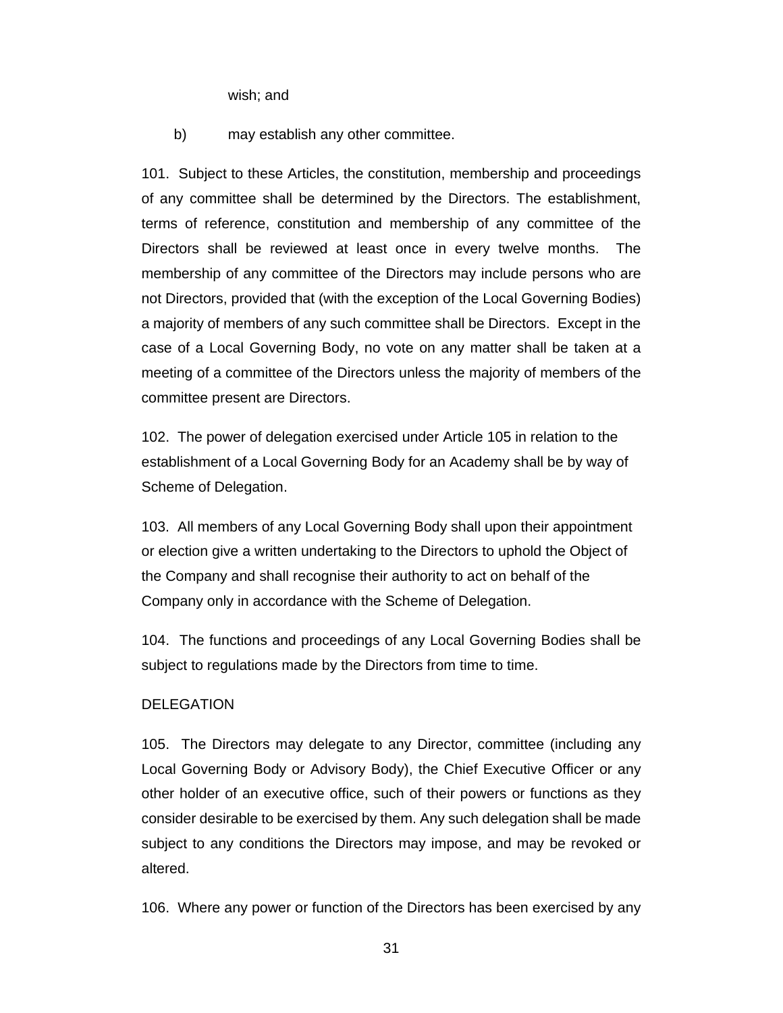wish; and

b) may establish any other committee.

101. Subject to these Articles, the constitution, membership and proceedings of any committee shall be determined by the Directors. The establishment, terms of reference, constitution and membership of any committee of the Directors shall be reviewed at least once in every twelve months. The membership of any committee of the Directors may include persons who are not Directors, provided that (with the exception of the Local Governing Bodies) a majority of members of any such committee shall be Directors. Except in the case of a Local Governing Body, no vote on any matter shall be taken at a meeting of a committee of the Directors unless the majority of members of the committee present are Directors.

102. The power of delegation exercised under Article 105 in relation to the establishment of a Local Governing Body for an Academy shall be by way of Scheme of Delegation.

103. All members of any Local Governing Body shall upon their appointment or election give a written undertaking to the Directors to uphold the Object of the Company and shall recognise their authority to act on behalf of the Company only in accordance with the Scheme of Delegation.

104. The functions and proceedings of any Local Governing Bodies shall be subject to regulations made by the Directors from time to time.

#### DELEGATION

105. The Directors may delegate to any Director, committee (including any Local Governing Body or Advisory Body), the Chief Executive Officer or any other holder of an executive office, such of their powers or functions as they consider desirable to be exercised by them. Any such delegation shall be made subject to any conditions the Directors may impose, and may be revoked or altered.

106. Where any power or function of the Directors has been exercised by any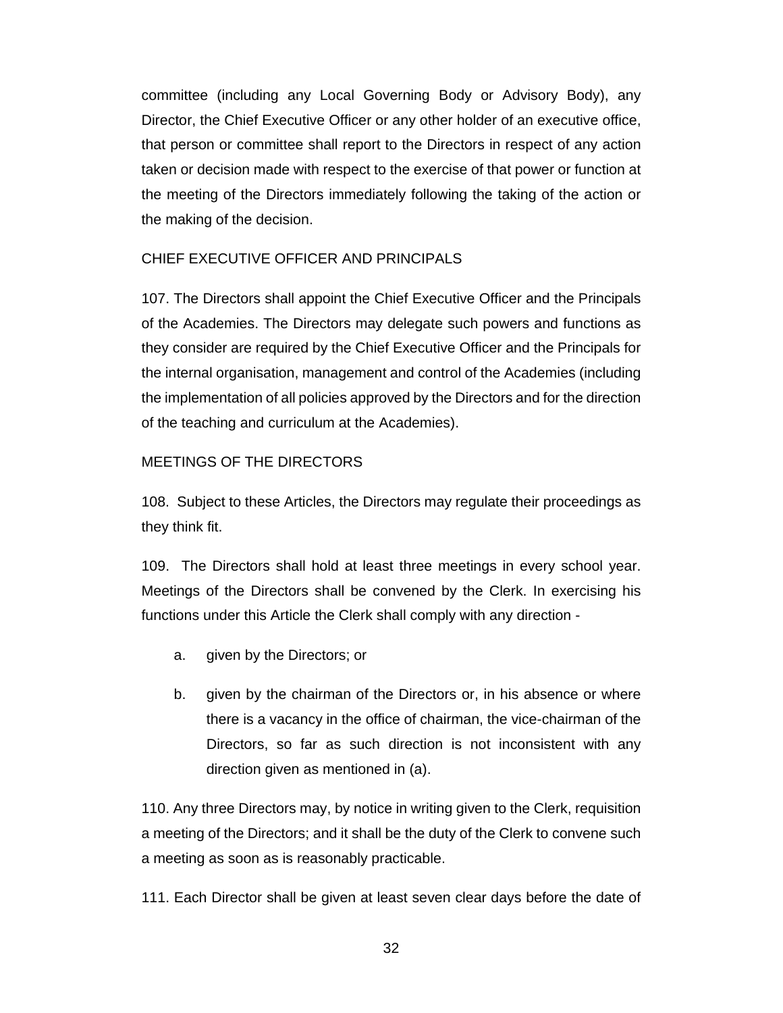committee (including any Local Governing Body or Advisory Body), any Director, the Chief Executive Officer or any other holder of an executive office, that person or committee shall report to the Directors in respect of any action taken or decision made with respect to the exercise of that power or function at the meeting of the Directors immediately following the taking of the action or the making of the decision.

## CHIEF EXECUTIVE OFFICER AND PRINCIPALS

107. The Directors shall appoint the Chief Executive Officer and the Principals of the Academies. The Directors may delegate such powers and functions as they consider are required by the Chief Executive Officer and the Principals for the internal organisation, management and control of the Academies (including the implementation of all policies approved by the Directors and for the direction of the teaching and curriculum at the Academies).

## MEETINGS OF THE DIRECTORS

108. Subject to these Articles, the Directors may regulate their proceedings as they think fit.

109. The Directors shall hold at least three meetings in every school year. Meetings of the Directors shall be convened by the Clerk. In exercising his functions under this Article the Clerk shall comply with any direction -

- a. given by the Directors; or
- b. given by the chairman of the Directors or, in his absence or where there is a vacancy in the office of chairman, the vice-chairman of the Directors, so far as such direction is not inconsistent with any direction given as mentioned in (a).

110. Any three Directors may, by notice in writing given to the Clerk, requisition a meeting of the Directors; and it shall be the duty of the Clerk to convene such a meeting as soon as is reasonably practicable.

111. Each Director shall be given at least seven clear days before the date of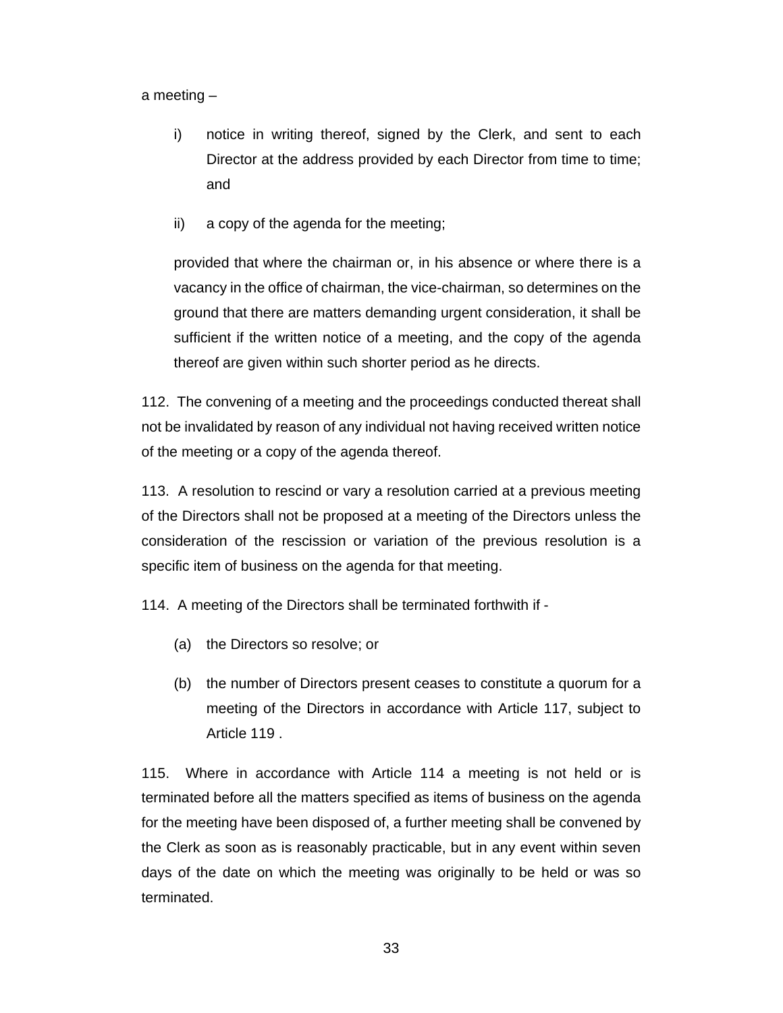a meeting –

- i) notice in writing thereof, signed by the Clerk, and sent to each Director at the address provided by each Director from time to time; and
- ii) a copy of the agenda for the meeting;

provided that where the chairman or, in his absence or where there is a vacancy in the office of chairman, the vice-chairman, so determines on the ground that there are matters demanding urgent consideration, it shall be sufficient if the written notice of a meeting, and the copy of the agenda thereof are given within such shorter period as he directs.

112. The convening of a meeting and the proceedings conducted thereat shall not be invalidated by reason of any individual not having received written notice of the meeting or a copy of the agenda thereof.

113. A resolution to rescind or vary a resolution carried at a previous meeting of the Directors shall not be proposed at a meeting of the Directors unless the consideration of the rescission or variation of the previous resolution is a specific item of business on the agenda for that meeting.

114. A meeting of the Directors shall be terminated forthwith if -

- (a) the Directors so resolve; or
- (b) the number of Directors present ceases to constitute a quorum for a meeting of the Directors in accordance with Article 117, subject to Article 119 .

115. Where in accordance with Article 114 a meeting is not held or is terminated before all the matters specified as items of business on the agenda for the meeting have been disposed of, a further meeting shall be convened by the Clerk as soon as is reasonably practicable, but in any event within seven days of the date on which the meeting was originally to be held or was so terminated.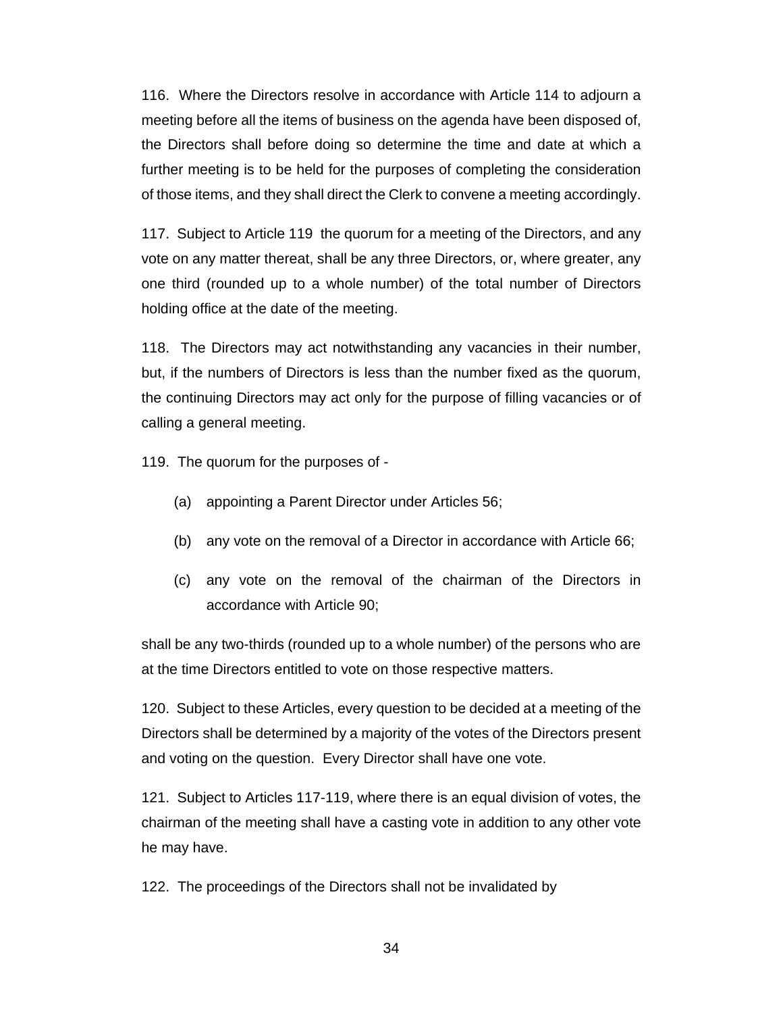116. Where the Directors resolve in accordance with Article 114 to adjourn a meeting before all the items of business on the agenda have been disposed of, the Directors shall before doing so determine the time and date at which a further meeting is to be held for the purposes of completing the consideration of those items, and they shall direct the Clerk to convene a meeting accordingly.

117. Subject to Article 119 the quorum for a meeting of the Directors, and any vote on any matter thereat, shall be any three Directors, or, where greater, any one third (rounded up to a whole number) of the total number of Directors holding office at the date of the meeting.

118. The Directors may act notwithstanding any vacancies in their number, but, if the numbers of Directors is less than the number fixed as the quorum, the continuing Directors may act only for the purpose of filling vacancies or of calling a general meeting.

119. The quorum for the purposes of -

- (a) appointing a Parent Director under Articles 56;
- (b) any vote on the removal of a Director in accordance with Article 66;
- (c) any vote on the removal of the chairman of the Directors in accordance with Article 90;

shall be any two-thirds (rounded up to a whole number) of the persons who are at the time Directors entitled to vote on those respective matters.

120. Subject to these Articles, every question to be decided at a meeting of the Directors shall be determined by a majority of the votes of the Directors present and voting on the question. Every Director shall have one vote.

121. Subject to Articles 117-119, where there is an equal division of votes, the chairman of the meeting shall have a casting vote in addition to any other vote he may have.

122. The proceedings of the Directors shall not be invalidated by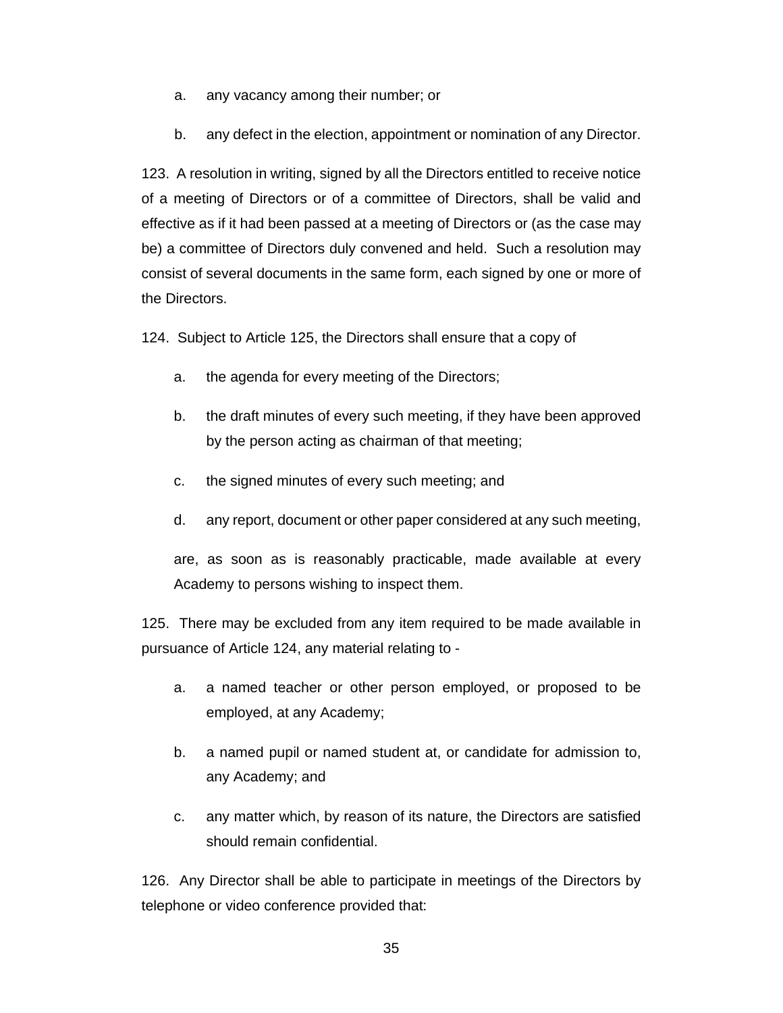- a. any vacancy among their number; or
- b. any defect in the election, appointment or nomination of any Director.

123. A resolution in writing, signed by all the Directors entitled to receive notice of a meeting of Directors or of a committee of Directors, shall be valid and effective as if it had been passed at a meeting of Directors or (as the case may be) a committee of Directors duly convened and held. Such a resolution may consist of several documents in the same form, each signed by one or more of the Directors.

124. Subject to Article 125, the Directors shall ensure that a copy of

- a. the agenda for every meeting of the Directors;
- b. the draft minutes of every such meeting, if they have been approved by the person acting as chairman of that meeting;
- c. the signed minutes of every such meeting; and
- d. any report, document or other paper considered at any such meeting,

are, as soon as is reasonably practicable, made available at every Academy to persons wishing to inspect them.

125. There may be excluded from any item required to be made available in pursuance of Article 124, any material relating to -

- a. a named teacher or other person employed, or proposed to be employed, at any Academy;
- b. a named pupil or named student at, or candidate for admission to, any Academy; and
- c. any matter which, by reason of its nature, the Directors are satisfied should remain confidential.

126. Any Director shall be able to participate in meetings of the Directors by telephone or video conference provided that: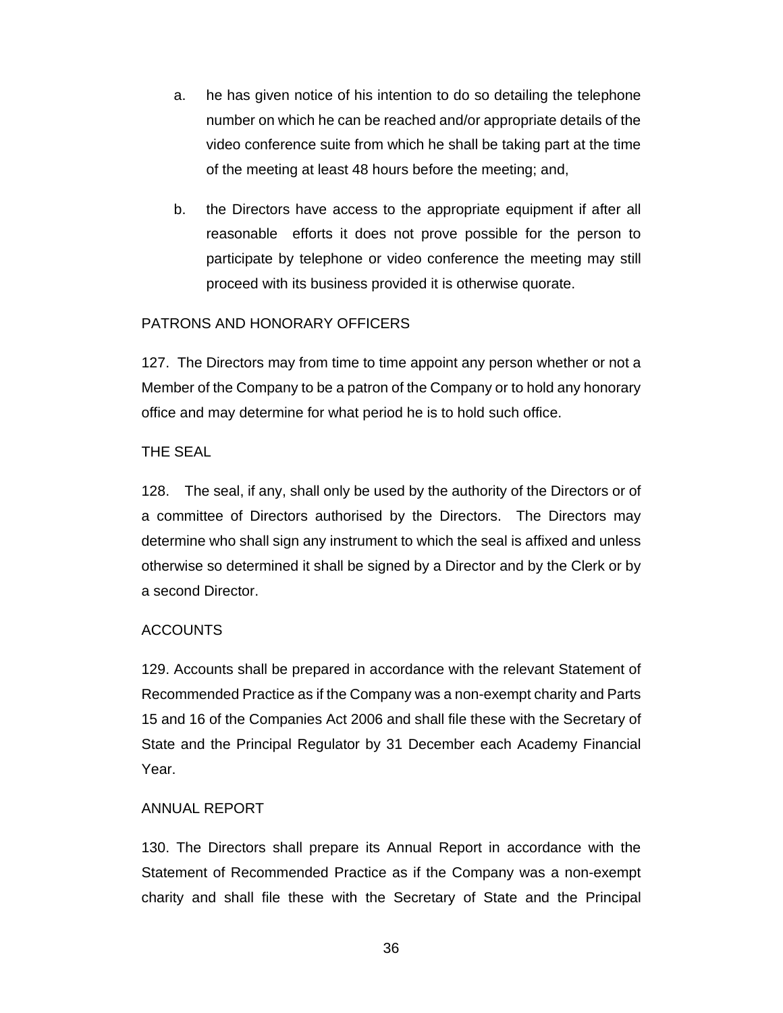- a. he has given notice of his intention to do so detailing the telephone number on which he can be reached and/or appropriate details of the video conference suite from which he shall be taking part at the time of the meeting at least 48 hours before the meeting; and,
- b. the Directors have access to the appropriate equipment if after all reasonable efforts it does not prove possible for the person to participate by telephone or video conference the meeting may still proceed with its business provided it is otherwise quorate.

## PATRONS AND HONORARY OFFICERS

127. The Directors may from time to time appoint any person whether or not a Member of the Company to be a patron of the Company or to hold any honorary office and may determine for what period he is to hold such office.

## THE SEAL

128. The seal, if any, shall only be used by the authority of the Directors or of a committee of Directors authorised by the Directors. The Directors may determine who shall sign any instrument to which the seal is affixed and unless otherwise so determined it shall be signed by a Director and by the Clerk or by a second Director.

## **ACCOUNTS**

129. Accounts shall be prepared in accordance with the relevant Statement of Recommended Practice as if the Company was a non-exempt charity and Parts 15 and 16 of the Companies Act 2006 and shall file these with the Secretary of State and the Principal Regulator by 31 December each Academy Financial Year.

## ANNUAL REPORT

130. The Directors shall prepare its Annual Report in accordance with the Statement of Recommended Practice as if the Company was a non-exempt charity and shall file these with the Secretary of State and the Principal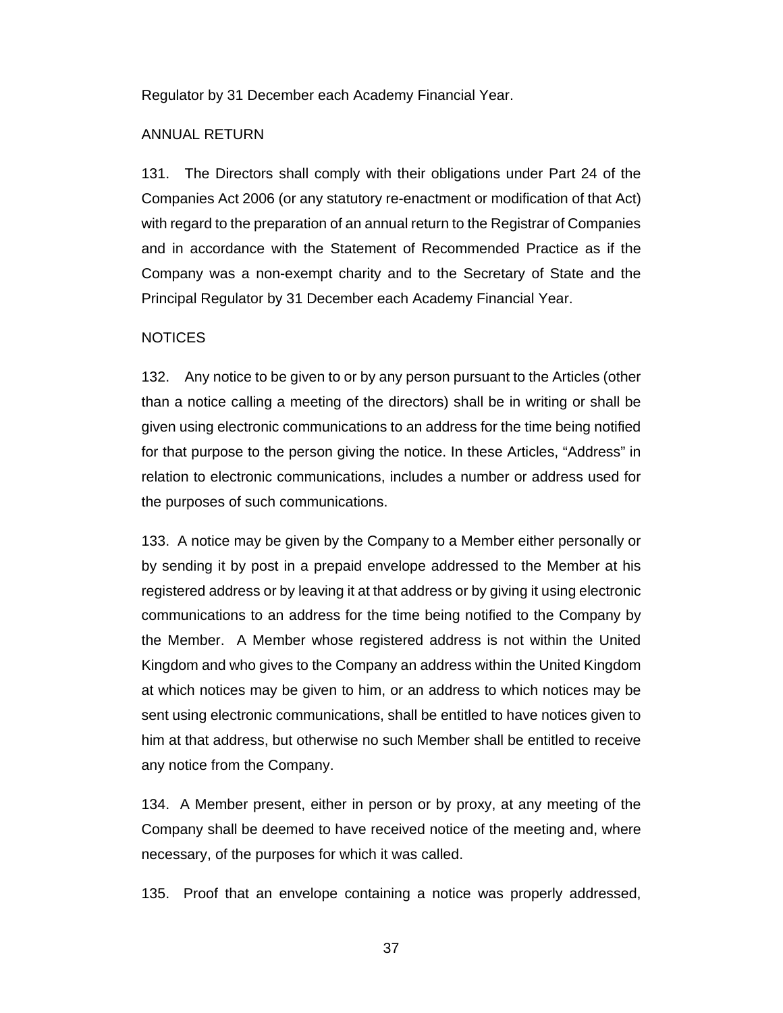Regulator by 31 December each Academy Financial Year.

#### ANNUAL RETURN

131. The Directors shall comply with their obligations under Part 24 of the Companies Act 2006 (or any statutory re-enactment or modification of that Act) with regard to the preparation of an annual return to the Registrar of Companies and in accordance with the Statement of Recommended Practice as if the Company was a non-exempt charity and to the Secretary of State and the Principal Regulator by 31 December each Academy Financial Year.

#### **NOTICES**

132. Any notice to be given to or by any person pursuant to the Articles (other than a notice calling a meeting of the directors) shall be in writing or shall be given using electronic communications to an address for the time being notified for that purpose to the person giving the notice. In these Articles, "Address" in relation to electronic communications, includes a number or address used for the purposes of such communications.

133. A notice may be given by the Company to a Member either personally or by sending it by post in a prepaid envelope addressed to the Member at his registered address or by leaving it at that address or by giving it using electronic communications to an address for the time being notified to the Company by the Member. A Member whose registered address is not within the United Kingdom and who gives to the Company an address within the United Kingdom at which notices may be given to him, or an address to which notices may be sent using electronic communications, shall be entitled to have notices given to him at that address, but otherwise no such Member shall be entitled to receive any notice from the Company.

134. A Member present, either in person or by proxy, at any meeting of the Company shall be deemed to have received notice of the meeting and, where necessary, of the purposes for which it was called.

135. Proof that an envelope containing a notice was properly addressed,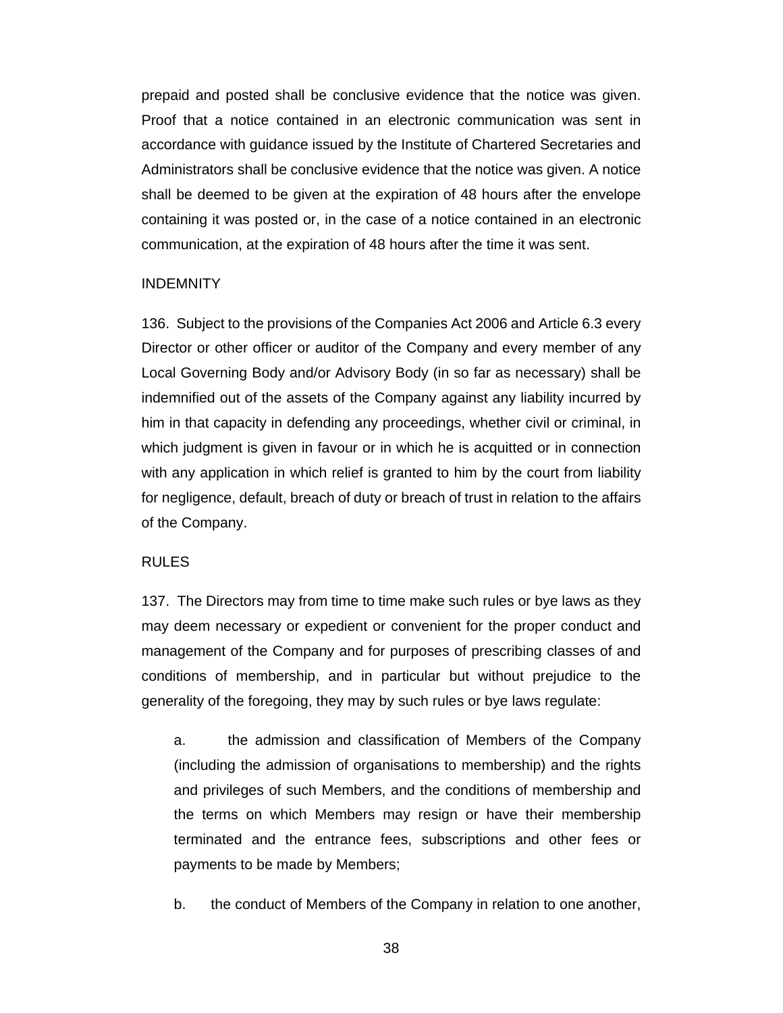prepaid and posted shall be conclusive evidence that the notice was given. Proof that a notice contained in an electronic communication was sent in accordance with guidance issued by the Institute of Chartered Secretaries and Administrators shall be conclusive evidence that the notice was given. A notice shall be deemed to be given at the expiration of 48 hours after the envelope containing it was posted or, in the case of a notice contained in an electronic communication, at the expiration of 48 hours after the time it was sent.

#### INDEMNITY

136. Subject to the provisions of the Companies Act 2006 and Article 6.3 every Director or other officer or auditor of the Company and every member of any Local Governing Body and/or Advisory Body (in so far as necessary) shall be indemnified out of the assets of the Company against any liability incurred by him in that capacity in defending any proceedings, whether civil or criminal, in which judgment is given in favour or in which he is acquitted or in connection with any application in which relief is granted to him by the court from liability for negligence, default, breach of duty or breach of trust in relation to the affairs of the Company.

#### RULES

137. The Directors may from time to time make such rules or bye laws as they may deem necessary or expedient or convenient for the proper conduct and management of the Company and for purposes of prescribing classes of and conditions of membership, and in particular but without prejudice to the generality of the foregoing, they may by such rules or bye laws regulate:

a. the admission and classification of Members of the Company (including the admission of organisations to membership) and the rights and privileges of such Members, and the conditions of membership and the terms on which Members may resign or have their membership terminated and the entrance fees, subscriptions and other fees or payments to be made by Members;

b. the conduct of Members of the Company in relation to one another,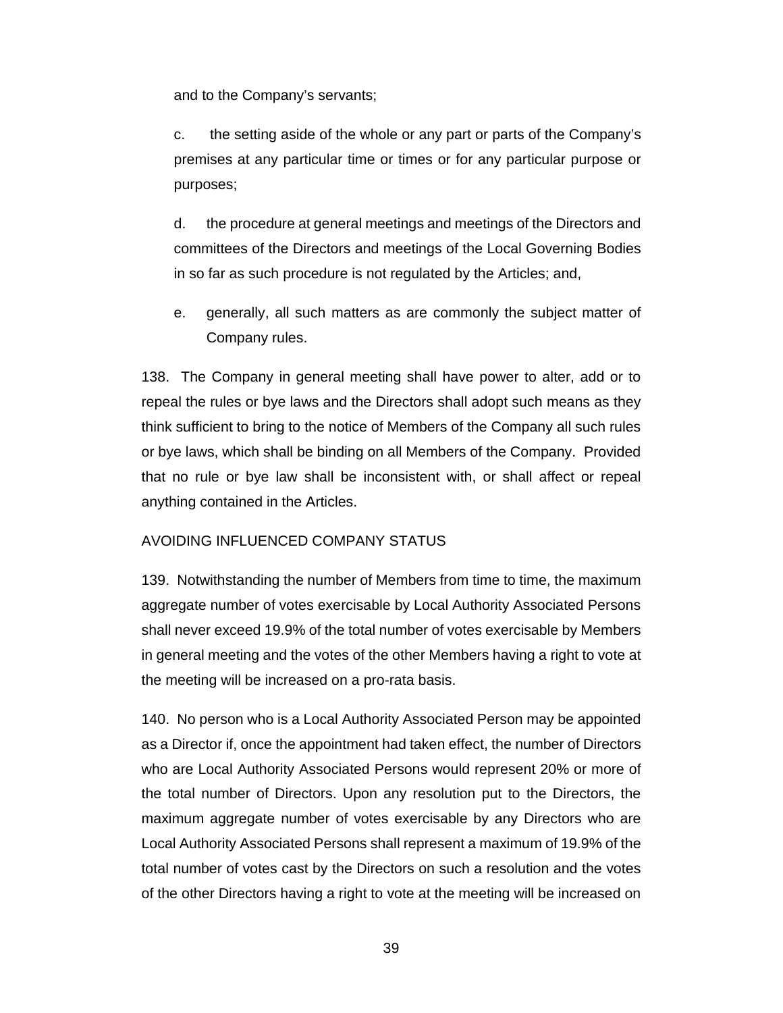and to the Company's servants;

c. the setting aside of the whole or any part or parts of the Company's premises at any particular time or times or for any particular purpose or purposes;

d. the procedure at general meetings and meetings of the Directors and committees of the Directors and meetings of the Local Governing Bodies in so far as such procedure is not regulated by the Articles; and,

e. generally, all such matters as are commonly the subject matter of Company rules.

138. The Company in general meeting shall have power to alter, add or to repeal the rules or bye laws and the Directors shall adopt such means as they think sufficient to bring to the notice of Members of the Company all such rules or bye laws, which shall be binding on all Members of the Company. Provided that no rule or bye law shall be inconsistent with, or shall affect or repeal anything contained in the Articles.

## AVOIDING INFLUENCED COMPANY STATUS

139. Notwithstanding the number of Members from time to time, the maximum aggregate number of votes exercisable by Local Authority Associated Persons shall never exceed 19.9% of the total number of votes exercisable by Members in general meeting and the votes of the other Members having a right to vote at the meeting will be increased on a pro-rata basis.

140. No person who is a Local Authority Associated Person may be appointed as a Director if, once the appointment had taken effect, the number of Directors who are Local Authority Associated Persons would represent 20% or more of the total number of Directors. Upon any resolution put to the Directors, the maximum aggregate number of votes exercisable by any Directors who are Local Authority Associated Persons shall represent a maximum of 19.9% of the total number of votes cast by the Directors on such a resolution and the votes of the other Directors having a right to vote at the meeting will be increased on